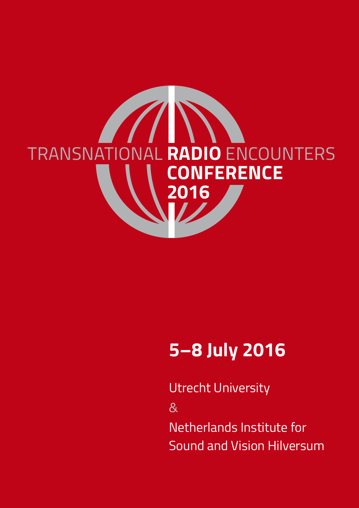

## **5–8 July 2016**

Utrecht University

&

Netherlands Institute for Sound and Vision Hilversum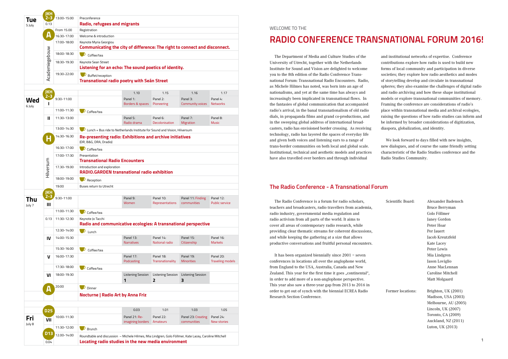The Department of Media and Culture Studies of the University of Utrecht, together with the Netherlands Institute for Sound and Vision are delighted to welcome you to the 8th edition of the Radio Conference Transnational Forum: Transnational Radio Encounters. Radio, as Michele Hilmes has noted, was born into an age of nationalisms, and yet at the same time has always and increasingly been implicated in transnational flows. In the fantasies of global communication that accompanied radio's arrival, in the banal transnationalism of old radio dials, in propaganda films and grand co-productions, and in the sweeping global address of international broadcasters, radio has envisioned border crossing. As receiving technology, radio has layered the spaces of everyday life and given both voices and listening ears to a range of trans-border communities on both local and global scale. Institutional, technical and aesthetic models and practices have also travelled over borders and through individual



and institutional networks of expertise. Conference contributions explore how radio is used to build new forms of local community and participation in diverse societies; they explore how radio aesthetics and modes of storytelling develop and circulate in transnational spheres; they also examine the challenges of digital radio and radio archiving and how these shape institutional models or explore transnational communities of memory. Framing the conference are considerations of radio's place within transnational media and archival ecologies, raising the questions of how radio studies can inform and be informed by broader considerations of digitization, diaspora, globalization, and identity.

We look forward to days filled with new insights, new dialogues, and of course the same friendly setting characteristic of the Radio Studies conference and the Radio Studies Community.

### WELCOME TO THE

### **RADIO CONFERENCE TRANSNATIONAL FORUM 2016!**

The Radio Conference is a forum for radio scholars, teachers and broadcasters, radio travellers from academia, radio industry, governmental media regulation and radio activism from all parts of the world. It aims to cover all areas of contemporary radio research, while providing clear thematic streams for coherent discussions, and while keeping the gathering at a size that allows productive conversations and fruitful personal encounters.

It has been organized biennially since 2001 – seven conferences in locations all over the anglophone world, from England to the USA, Australia, Canada and New Zealand. This year for the first time it goes "continental", in order to add more of a non-anglophone perspective. This year also saw a three-year gap from 2013 to 2016 in order to get out of synch with the biennial ECREA Radio Research Section Conference.

| Scientific Board: | Alexander Badenoch    |
|-------------------|-----------------------|
|                   | <b>Bruce Berryman</b> |
|                   | Golo Föllmer          |
|                   | Janey Gordon          |
|                   | Peter Hoar            |
|                   | Per Jauert            |
|                   | Jacob Kreutzfeld      |
|                   | Kate Lacey            |
|                   | Peter Lewis           |
|                   | Mia Lindgren          |
|                   | Jason Loviglio        |
|                   | Anne MacLennan        |
|                   | Caroline Mitchell     |
|                   | Matt Molgaard         |
| Former locations: | Brighton, UK (2001)   |
|                   | Madison, USA (2003)   |
|                   | Melbourne, AU (2005)  |
|                   | Lincoln, UK (2007)    |
|                   | Toronto, CA (2009)    |
|                   | Auckland, NZ (2011)   |
|                   | Luton, UK (2013)      |
|                   |                       |

### **The Radio Conference - A Transnational Forum**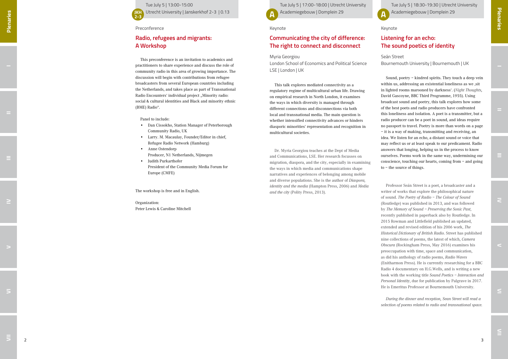2

**I II III IV V VI VII**

 $\overline{z}$ 

 $\leq$ 

 $\leq$ 

Е

Plenaries  **PlenariesVII VI V IV III II I Plenaries**

Preconference

**Radio, refugees and migrants:**

**A Workshop**

This preconference is an invitation to academics and practitioners to share experience and discuss the role of community radio in this area of growing importance. The discussion will begin with contributions from refugee broadcasters from several European countries including the Netherlands, and takes place as part of Transnational Radio Encounters' individual project "Minority radio: social & cultural identities and Black and minority ethnic

(BME) Radio".

Panel to include:

• Dan Cissokho, Station Manager of Peterborough

Community Radio, UK

• Larry. M. Macaulay, Founder/Editor in chief, Refugee Radio Network (Hamburg)

• Anne Ostendorp

Producer, N1 Netherlands, Nijmegen

• Judith Purkarthofer

President of the Community Media Forum for

Europe (CMFE)

The workshop is free and in English.

Organization:

Peter Lewis & Caroline Mitchell

Keynote

### **Listening for an echo: The sound poetics of identity**

Seán Street Bournemouth University | Bournemouth | UK

Sound, poetry – kindred spirits. They touch a deep vein within us, addressing an existential loneliness as we sit in lighted rooms marooned by darkness'. (*Night Thoughts*, David Gascoyne, BBC Third Programme, 1955). Using broadcast sound and poetry, this talk explores how some of the best poets and radio producers have confronted this loneliness and isolation. A poet is a transmitter, but a radio producer can be a poet in sound, and ideas require no passport to travel. Poetry is more than words on a page – it is a way of making, transmitting and receiving, an idea. We listen for an echo, a distant sound or voice that may reflect us or at least speak to our predicament. Radio answers that longing, helping us in the process to know ourselves. Poems work in the same way, undermining our conscience, touching our hearts, coming from – and going to – the source of things.

Professor Seán Street is a poet, a broadcaster and a writer of works that explore the philosophical nature of sound. *The Poetry of Radio – The Colour of Sound* (Routledge) was published in 2013, and was followed by *The Memory of Sound – Preserving the Sonic Past*, recently published in paperback also by Routledge. In 2015 Rowman and Littlefield published an updated, extended and revised edition of his 2006 work, *The Historical Dictionary of British Radio*. Street has published nine collections of poems, the latest of which, *Camera Obscura* (Rockingham Press, May 2016) examines his preoccupation with time, space and communication, as did his anthology of radio poems, *Radio Waves* (Enitharmon Press). He is currently researching for a BBC Radio 4 documentary on H.G.Wells, and is writing a new book with the working title *Sound Poetics – Interaction and Personal Identity*, due for publication by Palgrave in 2017. He is Emeritus Professor at Bournemouth University.

*During the dinner and reception, Sean Street will read a selection of poems related to radio and transnational space.*

Tue July 5 | 13:00-15:00

 Tue July 5 | 18:30-19:30 | Utrecht University Academiegebouw | Domplein 29

### Keynote

### **Communicating the city of difference: The right to connect and disconnect**

Myria Georgiou

London School of Economics and Political Science LSE | London | UK

This talk explores mediated connectivity as a regulatory regime of multicultural urban life. Drawing on empirical research in North London, it examines the ways in which diversity is managed through different connections and disconnections via both local and transnational media. The main question is whether intensified connectivity advances or hinders diasporic minorities' representation and recognition in multicultural societies.

Utrecht University | Janskerkhof 2-3 | 0.13 Academiegebouw | Domplein 29 **A JKH** 

Dr. Myria Georgiou teaches at the Dept of Media and Communications, LSE. Her research focusses on migration, diaspora, and the city, especially in examining the ways in which media and communications shape narratives and experiences of belonging among mobile and diverse populations. She is the author of *Diaspora, identity and the media* (Hampton Press, 2006) and *Media and the city* (Polity Press, 2013).

Tue July 5 | 17:00-18:00 | Utrecht University

**2-3**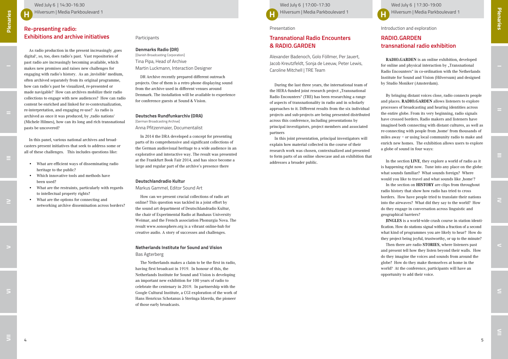**I II III IV V VI VII**

 $\overline{z}$ 

 $\leq$ 

 $\leq$ 

 $\leq$ 

### Presentation

### **Transnational Radio Encounters & RADIO.GARDEN**

Alexander Badenoch, Golo Föllmer, Per Jauert, Jacob Kreutzfeldt, Sonja de Leeuw, Peter Lewis, Caroline Mitchell | TRE Team

During the last three years, the international team of the HERA-funded joint research project "Transnational Radio Encounters" (TRE) has been researching a range of aspects of transnationality in radio and in scholarly approaches to it. Different results from the six individual projects and sub-projects are being presented distributed across this conference, including presentations by principal investigators, project members and associated partners

In this joint presentation, principal investigators will explain how material collected in the course of their research work was chosen, contextualized and presented to form parts of an online showcase and an exhibition that addresses a broader public.

### **Re-presenting radio: Exhibitions and archive initiatives**

As radio production in the present increasingly ,goes digital', so, too, does radio's past. Vast repositories of past radio are increasingly becoming available, which makes new promises and raises new challenges for engaging with radio's history. As an ,invisible' medium, often archived separately from its original programme, how can radio's past be visualized, re-presented or made navigable? How can archives mobilize their radio collections to engage with new audiences? How can radio content be enriched and linked for re-contextualization, re-interpretation, and engaging re-use? As radio is archived as once it was produced, by ,radio nations' (Michele Hilmes), how can its long and rich transnational pasts be uncovered?

In this panel, various national archives and broadcasters present initiatives that seek to address some or all of these challenges. This includes questions like:

- What are efficient ways of disseminating radio heritage to the public?
- Which innovative tools and methods have been used?
- What are the restraints, particularly with regards to intellectual property rights?
- What are the options for connecting and networking archive dissemination across borders?

### **Participants**

Introduction and exploration

### **RADIO.GARDEN transnational radio exhibition**

**RADIO.GARDEN** is an online exhibition, developed for online and physical interaction by "Transnational Radio Encounters" in co-ordination with the Netherlands Institute for Sound and Vision (Hilversum) and designed by Studio Moniker (Amsterdam).

By bringing distant voices close, radio connects people and places. **RADIO.GARDEN** allows listeners to explore processes of broadcasting and hearing identities across the entire globe. From its very beginning, radio signals have crossed borders. Radio makers and listeners have imagined both connecting with distant cultures, as well as re-connecting with people from ,home' from thousands of miles away – or using local community radio to make and enrich new homes. The exhibition allows users to explore a globe of sound in four ways:

In the section **LIVE**, they explore a world of radio as it is happening right now. Tune into any place on the globe: what sounds familiar? What sounds foreign? Where would you like to travel and what sounds like ,home'?

In the section on **HISTORY** are clips from throughout radio history that show how radio has tried to cross borders. How have people tried to translate their nations into the airwaves? What did they say to the world? How do they engage in conversation across linguistic and geographical barriers?

**JINGLES** is a world-wide crash course in station identification. How do stations signal within a fraction of a second what kind of programmes you are likely to hear? How do they project being joyful, trustworthy, or up to the minute? Then there are radio **STORIES**, where listeners past and present tell how they listen beyond their walls. How do they imagine the voices and sounds from around the globe? How do they make themselves at home in the world? At the conference, participants will have an opportunity to add their voice.

### **Denmarks Radio (DR)**

[Danish Broadcasting Corporation] Tina Pipa, Head of Archive Martin Luckmann, Interaction Designer

DR Archive recently prepared different outreach projects. One of them is a retro phone displaying sound from the archive used in different venues around Denmark. The installation will be available to experience for conference guests at Sound & Vision.

### **Deutsches Rundfunkarchiv (DRA)**

[German Broadcasting Archive]

Anna Pfitzenmaier, Documentalist

In 2014 the DRA developed a concept for presenting parts of its comprehensive and significant collections of the German audiovisual heritage to a wide audience in an explorative and interactive way. The result was presented at the Frankfurt Book Fair 2014, and has since become a large and regular part of the archive's presence there

### **Deutschlandradio Kultur**

Markus Gammel, Editor Sound Art

How can we present crucial collections of radio art online? This question was tackled in a joint effort by the sound art department of Deutschlandradio Kultur, the chair of Experimental Radio at Bauhaus University Weimar, and the French association Phonurgia Nova. The result www.sonosphere.org is a vibrant online-hub for creative audio. A story of successes and challenges.

### **Netherlands Institute for Sound and Vision** Bas Agterberg

The Netherlands makes a claim to be the first in radio, having first broadcast in 1919. In honour of this, the Netherlands Institute for Sound and Vision is developing an important new exhibition for 100 years of radio to celebrate the centenary in 2019. In partnership with the Google Cultural Institute, a CGI exploration of the work of Hans Henricus Schotanus à Steringa Idzerda, the pioneer of those early broadcasts.

Wed July 6 | 17:00-17:30 Hilversum | Media Parkboulevard 1 Hilversum | Media Parkboulevard 1 **Hilversum | Media Parkboulevard 1 <b>Hilversum | Media Parkboulevard 1** Hilversum | Media Parkboulevard 1

 **Plenaries**

Plenaries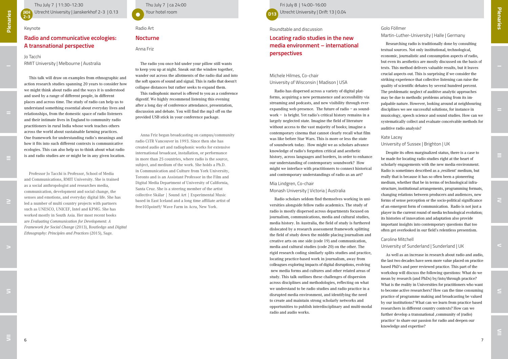**I II III IV V VI VII**

 $\overline{z}$ 

 $\lt$ 

 $\equiv$ 

### Radio Art

### **Nocturne**

Anna Friz

The radio you once hid under your pillow still wants to keep you up at night. Sneak out the window together, wander out across the allotments of the radio dial and into the soft spaces of sound and signal. This is radio that doesn't collapse distances but rather seeks to expand them.

This radiophonic morsel is offered to you as a conference digestif. We highly recommend listening this evening after a long day of conference attendance, presentation, discussion and debate. You will find the mp3 off on the provided USB stick in your conference package.

Anna Friz began broadcasting on campus/community radio CiTR Vancouver in 1993. Since then she has created audio art and radiophonic works for extensive international broadcast, installation, or performance in more than 25 countries, where radio is the source, subject, and medium of the work. She holds a Ph.D. in Communication and Culture from York University, Toronto and is an Assistant Professor in the Film and Digital Media Department of University of California, Santa Cruz. She is a steering member of the artist collective Skálar | Sound Art | Experimental Music based in East Iceland and a long time affiliate artist of free103point9/ Wave Farm in Acra, New York.

 Thu July 7 | ca 24:00 Your hotel room

Keynote

### **Radio and communicative ecologies: A transnational perspective**

### Jo Tacchi

RMIT University | Melbourne | Australia

This talk will draw on examples from ethnographic and action research studies spanning 20 years to consider how we might think about radio and the ways it is understood and used by a range of different people, in different places and across time. The study of radio can help us to understand something essential about everyday lives and relationships, from the domestic space of radio listeners and their intimate lives in England to community radio practitioners in rural India whose work teaches others across the world about sustainable farming practices. One framework for understanding radio's meanings and how it fits into such different contexts is communicative ecologies. This can also help us to think about what radio is and radio studies are or might be in any given location.

Professor Jo Tacchi is Professor, School of Media and Communications, RMIT University. She is trained as a social anthropologist and researches media, communication, development and social change, the senses and emotions, and everyday digital life. She has led a number of multi country projects with partners such as UNESCO, UNICEF, Intel and KPMG. She has worked mostly in South Asia. Her most recent books are *Evaluating Communication for Development: A Framework for Social Change* (2013), Routledge and *Digital Ethnography: Principles and Practices* (2015), Sage.

### Roundtable and discussion

### **Locating radio studies in the new media environment – international perspectives**

Michele Hilmes, Co-chair University of Wisconsin | Madison | USA

 Fri July 8 | 14:00-16:00 Utrecht University | Drift 13 | 0.04 **D13**

Radio has dispersed across a variety of digital platforms, acquiring a new permanence and accessibility via streaming and podcasts, and new visibility through everexpanding web presence. The future of radio – as soundwork – is bright. Yet radio's critical history remains in a largely neglected state. Imagine the field of literature without access to the vast majority of books; imagine a contemporary cinema that cannot clearly recall what film was like before Star Wars. This is more or less the state of soundwork today. How might we as scholars advance knowledge of radio's forgotten critical and aesthetic history, across languages and borders, in order to enhance our understanding of contemporary soundwork? How might we interface with practitioners to connect historical and contemporary understandings of radio as an art?

### Mia Lindgren, Co-chair

### Monash University | Victoria | Australia

Radio scholars seldom find themselves working in universities alongside fellow radio academics. The study of radio is mostly dispersed across departments focused on journalism, communications, media and cultural studies, media history. In Australia, the field of study is furthered dislocated by a research assessment framework splitting the field of study down the middle placing journalism and creative arts on one side (code 19) and communication, media and cultural studies (code 20) on the other. The rigid research coding similarly splits studies and practice, locating practice-based work in journalism, away from colleagues exploring impacts of digital disruptions, evolving new media forms and cultures and other related areas of study. This talk outlines these challenges of dispersion across disciplines and methodologies, reflecting on what we understand to be radio studies and radio practice in a disrupted media environment, and identifying the need to create and maintain strong scholarly networks and opportunities to publish interdisciplinary and multi-modal radio and audio works.

### Golo Föllmer Martin-Luther-University | Halle | Germany

Researching radio is traditionally done by consulting textual sources. Not only institutional, technological, economic, journalistic and consumption aspects of radio, but even its aesthetics are mostly discussed on the basis of texts. This method delivers valuable results, but it leaves crucial aspects out. This is surprising if we consider the striking experience that collective listening can raise the quality of scientific debates by several hundred percent. The problematic neglect of auditive analytic approaches may be due to methodic problems arising from its impalpable nature. However, looking around at neighbouring disciplines we see successful solutions, for instance in musicology, speech science and sound studies. How can we systematically collect and evaluate conceivable methods for auditive radio analysis?

### Kate Lacey University of Sussex | Brighton | UK

Despite its often marginalized status, there is a case to be made for locating radio studies right at the heart of scholarly engagements with the new media environment. Radio is sometimes described as a ,resilient' medium, but really that is because it has so often been a pioneering medium, whether that be in terms of technological infrastructure, institutional arrangements, programming formats, changing relations between producers and audiences, new forms of sense perception or the socio-political significance of an emergent form of communication. Radio is not just a player in the current round of media technological evolution; its histories of innovation and adaptation also provide important insights into contemporary questions that too often get overlooked in our field's relentless presentism.

### Caroline Mitchell University of Sunderland | Sunderland | UK

As well as an increase in research about radio and audio, the last two decades have seen more value placed on practice based PhD's and peer reviewed practice. This part of the workshop will discuss the following questions: What do we mean by research (and PhDs) by/into/through practice? What is the reality in Universities for practitioners who want to become active researchers? How can the time consuming practice of programme making and broadcasting be valued by our institutions? What can we learn from practice based researchers in different country contexts? How can we further develop a transnational ,community of (radio) practice' to share our passion for radio and deepen our knowledge and expertise?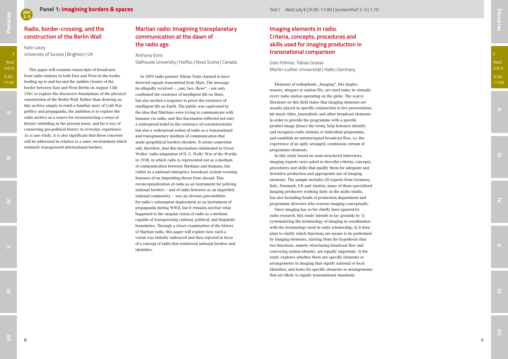8

9

### **Imaging elements in radio. Criteria, concepts, procedures and skills used for imaging production in transnational comparison**

Golo Föllmer, Tobias Grasse Martin-Luther-Universität | Halle | Germany

Elements of radiophonic "Imaging", like jingles, teasers, stingers or station IDs, are used today in virtually every radio station operating on the globe. The scarce literature on this field states that imaging elements are usually played in specific conjunction to live presentation, hit music titles, journalistic and other broadcast elements in order to provide the programme with a specific product image (hence the term), help listeners identify and recognize radio stations or individual programms, and establish an uninterrupted broadcast flow, i.e. the experience of an aptly arranged, continuous stream of programme elements.

In this study based on semi-structured interviews, imaging experts were asked to describe criteria, concepts, procedures and skills that qualify them for adequate and inventive production and appropriate use of imaging elements. The sample includes 20 experts from Germany, Italy, Denmark, UK and Austria, many of them specialized imaging producers working daily in the audio studio, but also including heads of production department and programme directors who oversee imaging conceptually.

Since imaging has so far chiefly been ignored by radio research, this study intends to lay grounds by 1) systematizing the terminology of imaging in coordination with the terminology used in radio scholarship; 2) it then aims to clarify which functions are meant to be performed by imaging elements, starting from the hypothesis that two functions, namely structuring broadcast flow and conveying station identity, are equally important. 3) the study explores whether there are specific elements or arrangements in imaging that signify national or local identities, and looks for specific elements or arrangements that are likely to signify transnational standards.

### **Radio, border-crossing, and the construction of the Berlin Wall**

### Kate Lacey University of Sussex | Brighton | UK

**Plenaries Plenaries I Wed I II III IV V VI VII** July 6 9:30- 11:00

 $\leq$ 

 $\leq$ 

 $\leq$ 

This paper will examine transcripts of broadcasts from radio stations in both East and West in the weeks leading up to and beyond the sudden closure of the border between East and West Berlin on August 13th 1961 to explore the discursive foundations of the physical construction of the Berlin Wall. Rather than drawing on this archive simply to retell a familiar story of Cold War politics and propaganda, the ambition is to explore the radio archive as a source for reconstructing a sense of history unfolding in the present tense, and for a way of connecting geo-political history to everyday experience. As a case study, it is also significant that these concerns will be addressed in relation to a sonic environment which routinely transgressed international borders.

### **Martian radio: Imagining transplanetary communication at the dawn of the radio age**

### Anthony Enns

Dalhousie University | Halifax | Nova Scotia | Canada

In 1899 radio pioneer Nikola Tesla claimed to have detected signals transmitted from Mars. The message he allegedly received  $-$  "one, two, three"  $-$  not only confirmed the existence of intelligent life on Mars, but also invited a response to prove the existence of intelligent life on Earth. The public was captivated by the idea that Martians were trying to communicate with humans via radio, and this fascination reflected not only a widespread belief in the existence of extraterrestrials but also a widespread notion of radio as a transnational and transplanetary medium of communication that made geopolitical borders obsolete. It seems somewhat odd, therefore, that this fascination culminated in Orson Welles' radio adaptation of H. G. Wells' War of the Worlds in 1938, in which radio is represented not as a medium of communication between Martians and humans, but rather as a national emergency broadcast system warning listeners of an impending threat from abroad. This reconceptualization of radio as an instrument for policing national borders — and of radio listeners as an imperiled national community — was an obvious precondition for radio's subsequent deployment as an instrument of propaganda during WWII, but it remains unclear what happened to the utopian vision of radio as a medium capable of transgressing cultural, political, and linguistic boundaries. Through a closer examination of the history of Martian radio, this paper will explore how such a vision was initially embraced and then rejected in favor of a concept of radio that reinforced national borders and identities.

**JKH 2-3**

**I**

Wed July 6 \_ 9:30- 11:00 \_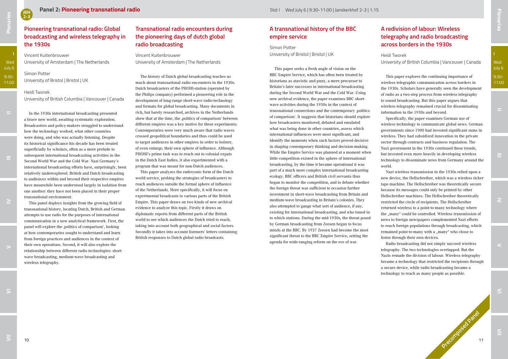**Plenaries**

**I II III IV V VI VII**

 $\equiv$ 

 $\leq$ 

 $\leq$ 

 $\,<\,$ 

**Precomposed Panel** 

**2-3**

**Pioneering transnational radio: Global broadcasting and wireless telegraphy in** 

**the 1930s**

Heidi Tworek University of British Columbia | Vancouver | Canada

In the 1930s international broadcasting presented a brave new world, awaiting systematic exploration. Broadcasters and policy-makers struggled to understand how the technology worked, what other countries were doing, and who was actually listening. Despite its historical significance his decade has been treated superficially by scholars, often as a mere prelude to subsequent international broadcasting activities in the Second World War and the Cold War. Nazi Germany's international broadcasting efforts have, surprisingly, been relatively underexplored. British and Dutch broadcasting to audiences within and beyond their respective empires have meanwhile been understood largely in isolation from one another: they have not been placed in their proper transnational environment.

This panel deploys insights from the growing field of transnational history, locating Dutch, British and German attempts to use radio for the purposes of international communication in a new analytical framework. First, the panel will explore the ,politics of comparison', looking at how contemporaries sought to understand and learn from foreign practices and audiences in the context of their own operations. Second, it will also explore the relationship between different radio technologies: shortwave broadcasting, medium-wave broadcasting and wireless telegraphy.

### **Transnational radio encounters during the pioneering days of dutch global radio broadcasting**

Vincent Kuitenbrouwer University of Amsterdam | The Netherlands

The history of Dutch global broadcasting teaches us much about transnational radio encounters in the 1930s. Dutch broadcasters of the PHOHI-station (operated by the Philips company) performed a pioneering role in the development of long-range short-wave radio-technology and formats for global broadcasting. Many documents in rich, but barely researched, archives in the Netherlands show that at the time, the ,politics of comparison' between different empires was a key motive for these experiments. Contemporaries were very much aware that radio waves crossed geopolitical boundaries and thus could be used to target audiences in other empires in order to bolster, of even enlarge, their own sphere of influence. Although PHOHI's prime task was to reach out to colonial expats in the Dutch East Indies, it also experimented with a program that was meant for non-Dutch audiences.

This paper analyzes the embryonic form of the Dutch world service, probing the strategies of broadcasters to reach audiences outside the formal sphere of influence of the Netherlands. More specifically, it will focus on experimental broadcasts to various parts of the British Empire. This paper draws on two kinds of new archival evidence to analyze this topic. Firstly it draws on diplomatic reports from different parts of the British world to see which audiences the Dutch tried to reach, taking into account both geographical and social factors. Secondly it takes into account listeners' letters containing British responses to Dutch global radio broadcasts.

### **A transnational history of the BBC empire service**

Simon Potter University of Bristol | Bristol | UK

**VII VI V IV III II I Plenaries** Vincent Kuitenbrouwer University of Amsterdam | The Netherlands Simon Potter University of Bristol | Bristol | UK **I\_** Wed\_ July 6\_ 9:30-\_ 11:00\_

This paper seeks a fresh angle of vision on the BBC Empire Service, which has often been treated by historians as atavistic and puny, a mere precursor to Britain's later successes in international broadcasting during the Second World War and the Cold War. Using new archival evidence, the paper examines BBC shortwave activities during the 1930s in the context of transnational connections and the contemporary ,politics of comparison'. It suggests that historians should explore how broadcasters monitored, debated and emulated what was being done in other countries, assess which international influences were most significant, and identify the moments when such factors proved decisive in shaping contemporary thinking and decision-making. While the Empire Service was planned at a moment when little competition existed in the sphere of international broadcasting, by the time it became operational it was part of a much more complex international broadcasting ecology. BBC officers and British civil servants thus began to monitor the competition, and to debate whether the foreign threat was sufficient to occasion further investment in short-wave broadcasting from Britain and medium-wave broadcasting in Britain's colonies. They also attempted to gauge what sort of audience, if any, existing for international broadcasting, and who tuned in to which stations. During the mid-1930s, the threat posed by German broadcasting from Zeesen began to focus minds at the BBC. By 1937 Zeesen had become the most significant threat to the BBC Empire Service, setting the agenda for wide-ranging reform on the eve of war.

≥

### **A redivision of labour: Wireless telegraphy and radio broadcasting across borders in the 1930s**

Heidi Tworek University of British Columbia | Vancouver | Canada

This paper explores the continuing importance of wireless telegraphic communication across borders in the 1930s. Scholars have generally seen the development of radio as a two-step process from wireless telegraphy to sound broadcasting. But this paper argues that wireless telegraphy remained crucial for disseminating information in the 1930s and beyond.

Specifically, the paper examines German use of wireless technology to communicate global news. German governments since 1900 had invested significant sums in wireless. They had subsidized innovation in the private sector through contracts and business regulation. The Nazi government in the 1930s continued these trends, but invested even more heavily in developing wireless technology to disseminate news from Germany around the world.

Nazi wireless transmission in the 1930s relied upon a new device, the Hellschreiber, which was a wireless ticker tape machine. The Hellschreiber was theoretically secure because its messages could only be printed by other Hellschreiber machines. The Hellschreiber theoretically restricted the circle of recipients. The Hellschreiber returned wireless to a point-to-many technology where the "many" could be controlled. Wireless transmission of news to foreign newspapers complemented Nazi efforts to reach foreign populations through broadcasting, which remained point-to-many with a "many" who chose to listen through their own devices.

Radio broadcasting did not simply succeed wireless telegraphy. The two technologies overlapped. But the Nazis remade the division of labour. Wireless telegraphy became a technology that restricted the recipients through a secure device, while radio broadcasting became a technology to reach as many people as possible.

**I** Wed July 6

9:30- 11:00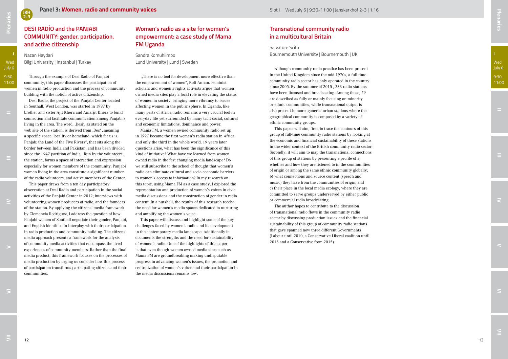**Plenaries Plenaries**

### **DESI RADİO and the PANJABI COMMUNITY: gender, participation, and active citizenship**

### Nazan Haydari Bilgi University | Instanbul | Turkey

Through the example of Desi Radio of Panjabi community, this paper discusses the participation of women in radio production and the process of community building with the notion of active citizenship.

Desi Radio, the project of the Panjabi Center located in Southall, West London, was started in 1997 by brother and sister Ajit Khera and Amarjit Khera to build connection and facilitate communication among Panjabi's living in the area. The word, , Desi', as stated on the web site of the station, is derived from , Des', meaning a specific space, locality or homeland, which for us is Panjab: the Land of the Five Rivers", that sits along the border between India and Pakistan, and has been divided since the 1947 partition of India. Run by the volunteers, the station, forms a space of interaction and expression especially for women members of the community. Panjabi women living in the area constitute a significant number of the radio volunteers, and active members of the Center.

This paper draws from a ten day participatory observation at Desi Radio and participation in the social activities of the Panjabi Center in 2012; interviews with volunteering women producers of radio, and the founders of the station. By applying the citizens' media framework by Clemencia Rodriguez, I address the question of how Panjabi women of Southall negotiate their gender, Panjabi, and English identities in interplay with their participation in radio production and community building. The citizens' media approach presents a framework for the analysis of community media activities that encompass the lived experiences of community members. Rather than the final media product, this framework focuses on the processes of media production by urging us consider how this process of participation transforms participating citizens and their communities.

### **Women's radio as a site for women's empowerment: a case study of Mama FM Uganda**

Sandra Komuhiimbo Lund University | Lund | Sweden

 "There is no tool for development more effective than the empowerment of women", Kofi Annan. Feminist scholars and women's rights activists argue that women owned media sites play a focal role in elevating the status of women in society, bringing more vibrancy to issues affecting women in the public sphere. In Uganda, like many parts of Africa, radio remains a very crucial tool in everyday life yet surrounded by many tacit social, cultural and economic limitations, dominance and power.

**I II III IV V VI VII I Wed** July 6 9:30- 11:00

 $\leq$ 

 $\leq$ 

 $\leq$ 

12 and the contract of the contract of the contract of the contract of the contract of the contract of the contract of the contract of the contract of the contract of the contract of the contract of the contract of the con

Mama FM, a women owned community radio set up in 1997 became the first women's radio station in Africa and only the third in the whole world. 19 years later questions arise, what has been the significance of this kind of initiative? What have we learned from women owned radio in the fast changing media landscape? Do we still subscribe to the school of thought that women's radio can eliminate cultural and socio-economic barriers to women's access to information? In my research on this topic, using Mama FM as a case study, I explored the representation and production of women's voices in civic media discussions and the construction of gender in radio content. In a nutshell, the results of this research reecho the need for women's media spaces dedicated to nurturing and amplifying the women's voice.

This paper will discuss and highlight some of the key challenges faced by women's radio and its development in the contemporary media landscape. Additionally it documents the strengths and the need for sustainability of women's radio. One of the highlights of this paper is that even though women owned media sites such as Mama FM are groundbreaking making undisputable progress in advancing women's issues, the promotion and centralization of women's voices and their participation in the media discussions remains low.

**JKH 2-3**

### **Transnational community radio in a multicultural Britain**

### Salvatore Scifo Bournemouth University | Bournemouth | UK

Although community radio practice has been present in the United Kingdom since the mid 1970s, a full-time community radio sector has only operated in the country since 2005. By the summer of 2015 , 233 radio stations have been licensed and broadcasting. Among these, 29 are described as fully or mainly focusing on minority or ethnic communities, while transnational output is also present in more ,generic' urban stations where the geographical community is composed by a variety of ethnic community groups.

This paper will aim, first, to trace the contours of this group of full-time community radio stations by looking at the economic and financial sustainability of these stations in the wider context of the British community radio sector. Secondly, it will aim to map the transnational connections of this group of stations by presenting a profile of a) whether and how they are listened to in the communities of origin or among the same ethnic community globally; b) what connections and source content (speech and music) they have from the communities of origin; and c) their place in the local media ecology, where they are committed to serve groups underserved by either public or commercial radio broadcasting.

The author hopes to contribute to the discussion of transnational radio flows in the community radio sector by discussing production issues and the financial sustainability of this group of community radio stations that gave spanned now three different Governments (Labour until 2010, a Conservative-Liberal coalition until 2015 and a Conservative from 2015).

**I\_**

Е

July 6\_ 9:30-\_ 11:00\_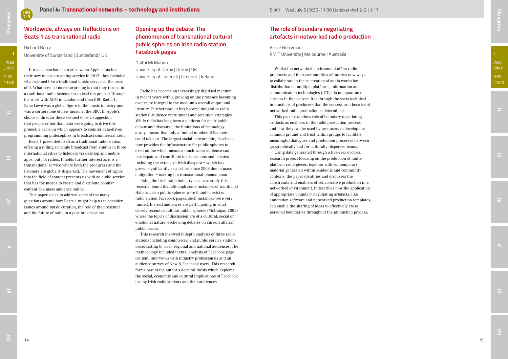**Plenaries Plenaries**

### Richard Berry

University of Sunderland | Sunderland | UK

It was somewhat of surprise when Apple launched their new music streaming service in 2015: they included what seemed like a traditional music service at the heart of it. What seemed more surprising is that they turned to a traditional radio tastemaker to lead the project: Through his work with XFM in London and then BBC Radio 1, Zane Lowe was a global figure in the music industry and was a cornerstone of new music at the BBC. In Apple's choice of director there seemed to be a suggestion that people rather than data were going to drive this project; a decision which appears to counter data-driven programming philosophies in broadcast commercial radio.

Beats 1 presented itself as a traditional radio station, offering a rolling schedule broadcast from studios in three international cities to listeners via desktop and mobile apps, but not radios. It holds further interest as it is a transnational service where both the producers and the listeners are globally dispersed. The movement of Apple into the field of content presents us with an audio service that has the means to create and distribute popular content to a mass audience online.

This paper seeks to address some of the many questions around how Beats 1 might help us to consider issues around music curation, the role of the presenter and the future of radio in a post-broadcast era.

**JKH 2-3**

### **Opening up the debate: The phenomenon of transnational cultural public spheres on Irish radio station Facebook pages**

Daithi McMahon

University of Derby | Derby | UK University of Limerick | Limerick | Ireland

Radio has become an increasingly digitised medium in recent years with a growing online presence becoming ever more integral to the medium's overall output and identity. Furthermore, it has become integral to radio stations' audience recruitment and retention strategies. While radio has long been a platform for onair public debate and discourse, the limitations of technology always meant that only a limited number of listeners could take art. The largest social network site, Facebook, now provides the infrastructure for public spheres to exist online which means a much wider audience can participate and contribute to discussions and debates including the extensive Irish diaspora – which has grown significantly as a cohort since 2008 due to mass emigration – making it a transnational phenomenon.

**I II III IV V VI VII I Wed** July 6 9:30- 11:00

 $\leq$ 

 $\leq$ 

 $\leq$ 

14 International contract of the contract of the contract of the contract of the contract of the contract of the contract of the contract of the contract of the contract of the contract of the contract of the contract of t

Using the Irish radio industry as a case study this research found that although some instances of traditional Habermasian public spheres were found to exist on radio station Facebook pages, such instances were very limited. Instead audiences are participating in what closely resemble cultural public spheres (McGuigan 2005) where the topics of discussion are of a cultural, social or emotional nature, eschewing debates on current affairs/ public issues.

This research involved indepth analysis of three radio stations including commercial and public service stations broadcasting to local, regional and national audiences. The methodology included textual analysis of Facebook page content, interviews with industry professionals and an audience survey of N=419 Facebook users. This research forms part of the author's doctoral thesis which explores the social, economic and cultural implications of Facebook use by Irish radio stations and their audiences.

### **The role of boundary negotiating artefacts in networked radio production**

Bruce Berryman RMIT University | Melbourne | Australia

Whilst the networked environment offers radio producers and their communities of interest new ways to collaborate in the co-creation of audio works for distribution on multiple platforms, information and communication technologies (ICTs) do not guarantee success in themselves. It is through the socio-technical interactions of producers that the success or otherwise of networked radio production is determined.

This paper examines role of boundary negotiating artifacts as enablers in the radio production process and how they can be used by producers to develop the common ground and trust within groups to facilitate meaningful dialogues and production processes between geographically and /or culturally dispersed teams.

Using data generated through a five-year doctoral research project focusing on the production of multiplatform radio pieces, together with contemporary material generated within academic and community contexts, the paper identifies and discusses the constraints and enablers of collaborative production in a networked environment. It describes how the application of appropriate boundary negotiating artefacts, like annotation software and networked production templates, can enable the sharing of ideas to effectively cross personal boundaries throughout the production process.

**I**

Wed July 6 \_ 9:30- 11:00 \_

=

 $\geq$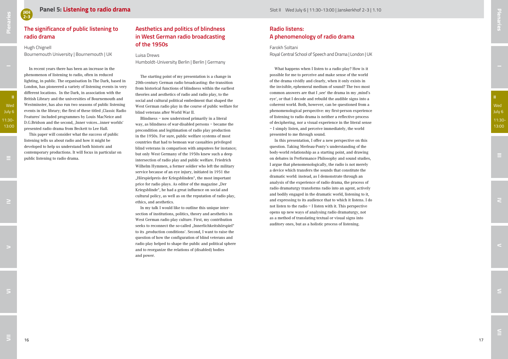

### **The significance of public listening to radio drama**

### Hugh Chignell Bournemouth University | Bournemouth | UK

In recent years there has been an increase in the phenomenon of listening to radio, often in reduced lighting, in public. The organisation In The Dark, based in London, has pioneered a variety of listening events in very different locations. In the Dark, in association with the British Library and the universities of Bournemouth and Westminster, has also run two seasons of public listening events in the library; the first of these titled ,Classic Radio Features' included programmes by Louis MacNeice and D.G.Bridson and the second, ,Inner voices…inner worlds' presented radio drama from Beckett to Lee Hall.

This paper will consider what the success of public listening tells us about radio and how it might be developed to help us understand both historic and contemporary productions. It will focus in particular on public listening to radio drama.

### **Aesthetics and politics of blindness in West German radio broadcasting of the 1950s**

### Luisa Drews

Humboldt-University Berlin | Berlin | Germany

The starting point of my presentation is a change in 20th-century German radio broadcasting: the transition from historical functions of blindness within the earliest theories and aesthetics of radio and radio play, to the social and cultural political embedment that shaped the West German radio play in the course of public welfare for blind veterans after World War II.

Blindness – now understood primarily in a literal way, as blindness of war-disabled persons – became the precondition and legitimation of radio play production in the 1950s. For sure, public welfare systems of most countries that had to bemoan war casualties privileged blind veterans in comparison with amputees for instance; but only West Germany of the 1950s knew such a deep intersection of radio play and public welfare. Friedrich Wilhelm Hymmen, a former soldier who left the military service because of an eye injury, initiated in 1951 the "Hörspielpreis der Kriegsblinden", the most important price for radio plays. As editor of the magazine "Der Kriegsblinde", he had a great influence on social and cultural policy, as well as on the reputation of radio play, ethics, and aesthetics.

In my talk I would like to outline this unique intersection of institutions, politics, theory and aesthetics in West German radio play culture. First, my contribution seeks to reconnect the so-called "Innerlichkeitshörspiel" to its ,production conditions'. Second, I want to raise the question of how the configuration of blind veterans and radio play helped to shape the public and political sphere and to reorganize the relations of (disabled) bodies and power.

### **Radio listens: A phenomenology of radio drama**

### Farokh Soltani Royal Central School of Speech and Drama | London | UK

What happens when I listen to a radio play? How is it possible for me to perceive and make sense of the world of the drama vividly and clearly, when it only exists in the invisible, ephemeral medium of sound? The two most common answers are that I ,see' the drama in my ,mind's eye', or that I decode and rebuild the audible signs into a coherent world. Both, however, can be questioned from a phenomenological perspective: my first-person experience of listening to radio drama is neither a reflective process of deciphering, nor a visual experience in the literal sense – I simply listen, and perceive immediately, the world presented to me through sound.

In this presentation, I offer a new perspective on this question. Taking Merleau-Ponty's understanding of the body-world relationship as a starting point, and drawing on debates in Performance Philosophy and sound studies, I argue that phenomenologically, the radio is not merely a device which transfers the sounds that constitute the dramatic world: instead, as I demonstrate through an analysis of the experience of radio drama, the process of radio dramaturgy transforms radio into an agent, actively and bodily engaged in the dramatic world, listening to it, and expressing to its audience that to which it listens. I do not listen to the radio – I listen with it. This perspective opens up new ways of analysing radio dramaturgy, not as a method of translating textual or visual signs into auditory ones, but as a holistic process of listening.

**JKH 2-3**

**II**\_

Wed\_ July 6\_ 11:30-\_ 13:00\_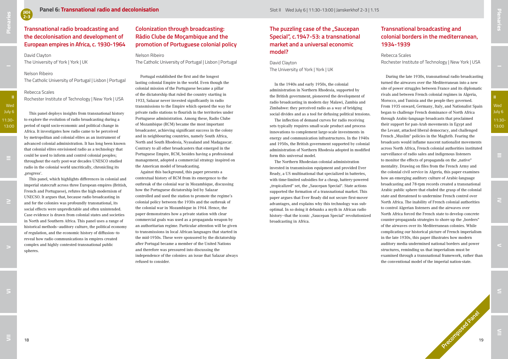**2-3**

### **Transnational radio broadcasting and the decolonisation and development of European empires in Africa, c. 1930-1964**

David Clayton The University of York | York | UK

### Nelson Ribeiro

The Catholic University of Portugal | Lisbon | Portugal

### Rebecca Scales

Rochester Institute of Technology | New York | USA

This panel deploys insights from transnational history to explore the evolution of radio broadcasting during a period of rapid socio-economic and political change in Africa. It investigates how radio came to be perceived by metropolitan and colonial elites as an instrument of advanced colonial administration. It has long been known that colonial elites envisioned radio as a technology that could be used to inform and control colonial peoples; throughout the early post-war decades UNESCO studied radio in the colonial world uncritically, chronicling its ,progress'.

This panel, which highlights differences in colonial and imperial statecraft across three European empires (British, French and Portuguese), refutes the high-modernism of UNECSO. It argues that, because radio broadcasting in and for the colonies was profoundly transnational, its social effects were unpredictable and often unintended. Case evidence is drawn from colonial states and societies in North and Southern Africa. This panel uses a range of historical methods—auditory culture, the political economy of regulation, and the economic history of diffusion—to reveal how radio communications in empires created complex and highly contested transnational public spheres.

### **Colonization through broadcasting: Rádio Clube de Moçambique and the promotion of Portuguese colonial policy**

### **The puzzling case of the "Saucepan Special", c.1947-53: a transnational market and a universal economic model?**

### Nelson Ribeiro

The Catholic University of Portugal | Lisbon | Portugal

Portugal established the first and the longest lasting colonial Empire in the world. Even though the colonial mission of the Portuguese became a pillar of the dictatorship that ruled the country starting in 1933, Salazar never invested significantly in radio transmissions to the Empire which opened the way for private radio stations to flourish in the territories under Portuguese administration. Among these, Radio Clube of Mozambique (RCM) became the most important broadcaster, achieving significant success in the colony and in neighbouring countries, namely South Africa, North and South Rhodesia, Nyasaland and Madagascar. Contrary to all other broadcasters that emerged in the Portuguese Empire, RCM, besides having a professional management, adopted a commercial strategy inspired on the American model of broadcasting.

Against this background, this paper presents a contextual history of RCM from its emergence to the outbreak of the colonial war in Mozambique, discussing how the Portuguese dictatorship led by Salazar controlled and used the station to promote the regime's colonial policy between the 1930s and the outbreak of the colonial war in Mozambique in 1964. Hence, the paper demonstrates how a private station with clear commercial goals was used as a propaganda weapon by an authoritarian regime. Particular attention will be given to transmissions in local African languages that started in the mid-1950s. These were sponsored by the dictatorship after Portugal became a member of the United Nations and therefore was pressured into discussing the independence of the colonies: an issue that Salazar always refused to consider.



 $\equiv$ 

 $\overline{z}$ 

 $\sim 18$ **Precomposed Panel** 

 $\leq$ 

 $\lt$ 

David Clayton The University of York | York | UK

In the 1940s and early 1950s, the colonial administration in Northern Rhodesia, supported by the British government, pioneered the development of radio broadcasting in modern day Malawi, Zambia and Zimbabwe: they perceived radio as a way of bridging social divides and as a tool for defusing political tensions.

The inflection of demand curves for radio receiving sets typically requires small-scale product and process innovations to complement large-scale investments in energy and communication infrastructures. In the 1940s and 1950s, the British government supported by colonial administration of Northern Rhodesia adopted in modified form this universal model.

The Northern Rhodesian colonial administration invested in transmission equipment and provided Ever Ready, a US multinational that specialized in batteries, with time-limited subsidies for a cheap, battery-powered "tropicalized" set, the "Saucepan Special". State actions supported the formation of a transnational market. This paper argues that Ever Ready did not secure first-mover advantages, and explains why this technology was suboptimal. In so doing it debunks a myth in African radio history-that the iconic "Saucepan Special" revolutionized broadcasting in Africa.

**Transnational broadcasting and** 

# **colonial borders in the mediterranean,**

**1934-1939**

 $\geq$ 

Rochester Institute of Technology | New York | USA

During the late 1930s, transnational radio broadcasting turned the airwaves over the Mediterranean into a new site of power struggles between France and its diplomatic rivals and between French colonial regimes in Algeria, Morocco, and Tunisia and the people they governed. From 1935 onward, Germany, Italy, and Nationalist Spain began to challenge French dominance of North Africa through Arabic-language broadcasts that proclaimed their support for pan-Arab movements in Egypt and the Levant, attacked liberal democracy, and challenged French "Muslim" policies in the Maghrib. Fearing the broadcasts would inflame nascent nationalist movements across North Africa, French colonial authorities instituted surveillance of radio sales and indigenous listeners to monitor the effects of propaganda on the "native" mentality. Drawing on files from the French Army and the colonial civil service in Algeria, this paper examines how an emerging auditory culture of Arabic-language broadcasting and 78-rpm records created a transnational Arabic public sphere that eluded the grasp of the colonial state and threatened to undermine French control over North Africa. The inability of French colonial authorities to control Algerian listeners and the airwaves over North Africa forced the French state to develop concrete counter-propaganda strategies to shore up the "borders" of the airwaves over its Mediterranean colonies. While complicating our historical picture of French imperialism in the late 1930s, this paper illustrates how modern auditory media undermined national borders and power structures, reminding us that imperialism must be examined through a transnational framework, rather than the conventional model of the imperial nation-state.

**II**\_

Wed\_ July 6\_ 11:30-\_ 13:00\_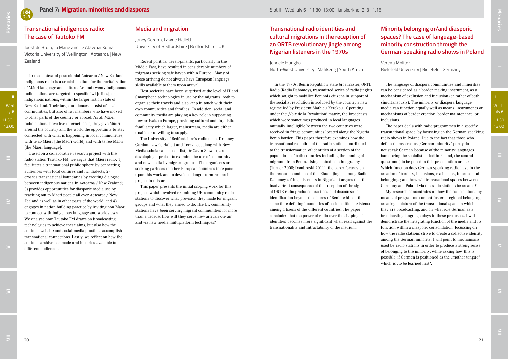# **VII V** IV II V II I V II I V II I V II I V I V I V I V I V I V I V I V I V I V I V I V I V I V I V I V I V I V Plenari

**Plenaries**

### **Transnational indigenous radio: The case of Tautoko FM**

Joost de Bruin, Jo Mane and Te Atawhai Kumar Victoria University of Wellington | Aotearoa | New Zealand

In the context of postcolonial Aotearoa / New Zealand, indigenous radio is a crucial medium for the revitalisation of Māori language and culture. Around twenty indigenous radio stations are targeted to specific iwi [tribes], or indigenous nations, within the larger nation state of New Zealand. Their target audiences consist of local communities, but also of iwi members who have moved to other parts of the country or abroad. As all Māori radio stations have live internet feeds, they give Māori around the country and the world the opportunity to stay connected with what is happening in local communities, with te ao Māori [the Māori world] and with te reo Māori [the Māori language].

Based on a collaborative research project with the radio station Tautoko FM, we argue that Māori radio: 1) facilitates a transnational public sphere by connecting audiences with local cultures and iwi dialects; 2) crosses transnational boundaries by creating dialogue between indigenous nations in Aotearoa / New Zealand; 3) provides opportunities for diasporic media use by reaching out to Māori people all over Aotearoa / New Zealand as well as in other parts of the world; and 4) engages in nation building practice by inviting non-Māori to connect with indigenous language and worldviews. We analyse how Tautoko FM draws on broadcasting technologies to achieve these aims, but also how the station's website and social media practices accomplish transnational connections. Lastly, we reflect on how the station's archive has made oral histories available to different audiences.

### **Media and migration**

Janey Gordon, Lawrie Hallett University of Bedfordshire | Bedfordshire | UK

Recent political developments, particularly in the Middle East, have resulted in considerable numbers of migrants seeking safe haven within Europe. Many of those arriving do not always have European language skills available to them upon arrival.

> My research concentrates on how the radio stations by means of programme content foster a regional belonging, creating a picture of the transnational space in which they are broadcasting, and on what role German as a broadcasting language plays in these processes. I will demonstrate the integrating function of the media and its function within a diasporic consolidation, focussing on how the radio stations strive to create a collective identity among the German minority. I will point to mechanisms used by radio stations in order to produce a strong sense of belonging to the minority, while asking how this is possible, if German is positioned as the "mother tongue" which is ..to be learned first".

Host societies have been surprised at the level of IT and Smartphone technologies in use by the migrants, both to organise their travels and also keep in touch with their own communities and families. In addition, social and community media are playing a key role in supporting new arrivals to Europe, providing cultural and linguistic familiarity which larger, mainstream, media are either unable or unwilling to supply.

The University of Bedfordshire's radio team, Dr Janey Gordon, Lawrie Hallett and Terry Lee, along with New Media scholar and specialist, Dr Gavin Stewart, are developing a project to examine the use of community and new media by migrant groups. The organisers are seeking partners in other European countries to expand upon this work and to develop a longer-term research project in this area.

This paper presents the initial scoping work for this project, which involved examining UK community radio stations to discover what provision they made for migrant groups and what they aimed to do. The UK community stations have been serving migrant communities for more than a decade. How will they serve new arrivals on- air and via new media multiplatform techniques?

**JKH 2-3**

# **I II III IV V VI VII II** Wed July 6 11:30- 13:00

 $\leq$ 

 $\lt$ 

 $\leq$ 

 $\leq$ 

### **Minority belonging or/and diasporic spaces? The case of language-based minority construction through the German-speaking radio shows in Poland**

Verena Molitor

Bielefeld University | Bielefeld | Germany

The language of diaspora communities and minorities can be considered as a border-making instrument, as a mechanism of exclusion and inclusion (or rather of both simultaneously). The minority or diaspora language media can function equally well as means, instruments or mechanisms of border creation, border maintenance, or inclusions.

The paper deals with radio programmes in a specific transnational space, by focussing on the German-speaking radio shows in Poland. Due to the fact that those who define themselves as "German minority" partly do not speak German because of the minority languages ban during the socialist period in Poland, the central question(s) to be posed in this presentation arises: Which function does German-speaking radio have in the creation of borders, inclusions, exclusions, interties and belongings; and how will transnational spaces between Germany and Poland via the radio stations be created?

### **Transnational radio identities and cultural migrations in the reception of an ORTB revolutionary jingle among Nigerian listeners in the 1970s**

Jendele Hungbo

North-West University | Mafikeng | South Africa

In the 1970s, Benin Republic's state broadcaster, ORTB Radio (Radio Dahomey), transmitted series of radio jingles which sought to mobilize Beninois citizens in support of the socialist revolution introduced by the country's new regime led by President Mathieu Kerekou. Operating under the ,Voix de la Revolution' matrix, the broadcasts which were sometimes produced in local languages mutually intelligible between the two countries were received in fringe communities located along the Nigeria-Benin border. This paper therefore examines how the transnational reception of the radio station contributed to the transformation of identities of a section of the populations of both countries including the naming of migrants from Benin. Using embodied ethnography (Turner 2000; Dombroski 2011), the paper focuses on the reception and use of the ,Ehusu jingle' among Radio Dahomey's fringe listeners in Nigeria. It argues that the inadvertent consequence of the reception of the signals of ORTB radio produced practices and discourses of identification beyond the shores of Benin while at the same time defining boundaries of socio-political existence among citizens of the different countries. The paper concludes that the power of radio over the shaping of identities becomes more significant when read against the transnationality and intractability of the medium.

**II**\_

Wed\_ July 6\_ 11:30-\_ 13:00\_

Е

 $\geq$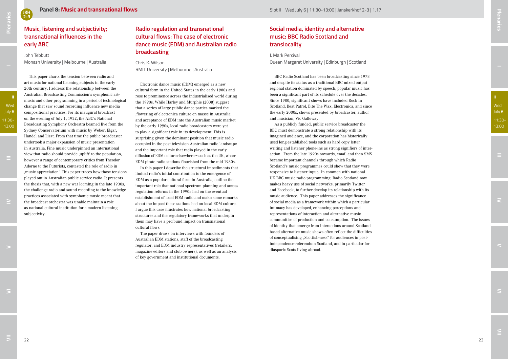# **VII V** IV II V II I V II I V II I V II I V I V I V I V I V I V I V I V I V I V I V I V I V I V I V I V I V I V Plenari



**Music, listening and subjectivity; transnational influences in the early ABC**

### John Tebbutt Monash University | Melbourne | Australia

This paper charts the tension between radio and art music for national listening subjects in the early 20th century. I address the relationship between the Australian Broadcasting Commission's symphonic artmusic and other programming in a period of technological change that saw sound recording influence new media compositional practices. For its inaugural broadcast on the evening of July 1, 1932, the ABC's National Broadcasting Symphony Orchestra beamed live from the Sydney Conservatorium with music by Weber, Elgar, Handel and Liszt. From that time the public broadcaster undertook a major expansion of music presentation in Australia. Fine music underpinned an international view that radio should provide ,uplift' to the population, however a range of contemporary critics from Theodor Adorno to the Futurists, contested the role of radio in ,music appreciation'. This paper traces how those tensions played out in Australian public service radio. It presents the thesis that, with a new war looming in the late 1930s, the challenge radio and sound recording to the knowledge practices associated with symphonic music meant that the broadcast orchestra was unable maintain a role as national cultural institution for a modern listening subjectivity.

### **Radio regulation and transnational cultural flows: The case of electronic dance music (EDM) and Australian radio broadcasting**

Chris K. Wilson RMIT University | Melbourne | Australia

Electronic dance music (EDM) emerged as a new cultural form in the United States in the early 1980s and rose to prominence across the industrialised world during the 1990s. While Harley and Murphie (2008) suggest that a series of large public dance parties marked the ,flowering of electronica culture en masse in Australia' and acceptance of EDM into the Australian music market by the early 1990s, local radio broadcasters were yet to play a significant role in its development. This is surprising given the dominant position that music radio occupied in the post-television Australian radio landscape and the important role that radio played in the early diffusion of EDM culture elsewhere – such as the UK, where EDM pirate radio stations flourished from the mid-1980s.

In this paper I describe the structural impediments that limited radio's initial contribution to the emergence of EDM as a popular cultural form in Australia, outline the important role that national spectrum planning and access regulation reforms in the 1990s had on the eventual establishment of local EDM radio and make some remarks about the impact these stations had on local EDM culture. I argue this case illustrates how national broadcasting structures and the regulatory frameworks that underpin them may have a profound impact on transnational cultural flows.

The paper draws on interviews with founders of Australian EDM stations, staff of the broadcasting regulator, and EDM industry representatives (retailers, magazine editors and club owners), as well as an analysis of key government and institutional documents.

**JKH 2-3**

**II**\_

Wed\_ July 6\_ 11:30-\_ 13:00\_

Е

 $\geq$ 

### **Social media, identity and alternative music: BBC Radio Scotland and translocality**

### J. Mark Percival

Queen Margaret University | Edinburgh | Scotland

BBC Radio Scotland has been broadcasting since 1978 and despite its status as a traditional BBC mixed output regional station dominated by speech, popular music has been a significant part of its schedule over the decades. Since 1980, significant shows have included Rock In Scotland, Beat Patrol, Bite The Wax, Electronica, and since the early 2000s, shows presented by broadcaster, author and musician, Vic Galloway.

As a publicly funded, public service broadcaster the BBC must demonstrate a strong relationship with its imagined audience, and the corporation has historically used long-established tools such as hard copy letter writing and listener phone-ins as strong signifiers of interaction. From the late 1990s onwards, email and then SMS became important channels through which Radio Scotland's music programmes could show that they were responsive to listener input. In common with national UK BBC music radio programming, Radio Scotland now makes heavy use of social networks, primarily Twitter and Facebook, to further develop its relationship with its music audience. This paper addresses the significance of social media as a framework within which a particular intimacy has developed, enhancing perceptions and representations of interaction and alternative music communities of production and consumption. The issues of identity that emerge from interactions around Scotlandbased alternative music shows often reflect the difficulties of conceptualising "Scottish-ness" for audiences in postindependence-referendum Scotland, and in particular for diasporic Scots living abroad.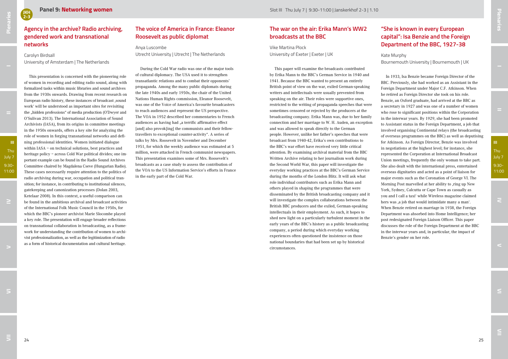**Plenaries**

**2-3**

### **Agency in the archive? Radio archiving, gendered work and transnational networks**

### Carolyn Birdsall

University of Amsterdam | The Netherlands

This presentation is concerned with the pioneering role of women in recording and editing radio sound, along with formalized tasks within music libraries and sound archives from the 1930s onwards. Drawing from recent research on European radio history, these instances of broadcast ,sound work' will be understood as important sites for revisiting the "hidden professions" of media production (O'Dwyer and O'Sulivan 2013). The International Association of Sound Archivists (IASA), from its origins in committee meetings in the 1950s onwards, offers a key site for analyzing the role of women in forging transnational networks and defining professional identities. Women initiated dialogue within IASA – on technical solutions, best practices and heritage policy – across Cold War political divides; one important example can be found in the Radio Sound Archives Committee chaired by Magdalena Cseve (Hungarian Radio). These cases necessarily require attention to the politics of radio archiving during war, occupation and political transition; for instance, in contributing to institutional silences, gatekeeping and canonization processes (Dolan 2003, Ketelaar 2008). In this context, a useful comparison can be found in the ambitious archival and broadcast activities of the International Folk Music Council in the 1950s, for which the BBC's pioneer archivist Marie Slocombe played a key role. The presentation will engage broader reflections on transnational collaboration in broadcasting, as a framework for understanding the contribution of women to archivist professionalization, as well as the legitimization of radio

as a form of historical documentation and cultural heritage.

### **The voice of America in France: Eleanor Roosevelt as public diplomat**

Anya Luscombe Utrecht University | Utrecht | The Netherlands

During the Cold War radio was one of the major tools of cultural diplomacy. The USA used it to strengthen transatlantic relations and to combat their opponents' propaganda. Among the many public diplomats during the late 1940s and early 1950s, the chair of the United Nations Human Rights commission, Eleanor Roosevelt, was one of the Voice of America's favourite broadcasters to reach audiences and represent the US perspective. The VOA in 1952 described her commentaries to French audiences as having had "a terrific affirmative effect [and] also provok[ing] the communists and their fellowtravellers to exceptional counter-activity". A series of talks by Mrs. Roosevelt in November and December 1951, for which the weekly audience was estimated at 5 million, were attacked in French communist newspapers. This presentation examines some of Mrs. Roosevelt's broadcasts as a case study to assess the contribution of the VOA to the US Information Service's efforts in France in the early part of the Cold War.

**III**\_

Thu\_ July 7\_ 9:30-\_ 11:00\_

 $\geq$ 

### **The war on the air: Erika Mann's WW2 broadcasts at the BBC**

Vike Martina Plock University of Exeter | Exeter | UK

> **I II III IV V VI VII III** Thu July 7 9:30- 11:00

 $\leq$ 

 $\leq$ 

 $\leq$ 

This paper will examine the broadcasts contributed by Erika Mann to the BBC's German Service in 1940 and 1941. Because the BBC wanted to present an entirely British point of view on the war, exiled German-speaking writers and intellectuals were usually prevented from speaking on the air. Their roles were supportive ones, restricted to the writing of propaganda speeches that were sometimes censored or rejected by the producers at the broadcasting company. Erika Mann was, due to her family connection and her marriage to W. H. Auden, an exception and was allowed to speak directly to the German people. However, unlike her father's speeches that were broadcast from 1940-42, Erika's own contributions to the BBC's war effort have received very little critical attention. By examining archival material from the BBC Written Archive relating to her journalism work during the Second World War, this paper will investigate the everyday working practices at the BBC's German Service during the months of the London Blitz. It will ask what role individual contributors such as Erika Mann and others played in shaping the programmes that were disseminated by the British broadcasting company and it will investigate the complex collaborations between the British BBC producers and the exiled, German-speaking intellectuals in their employment. As such, it hopes to shed new light on a particularly turbulent moment in the early years of the BBC's history as a public broadcasting company, a period during which everyday working experiences often questioned the insistence on those national boundaries that had been set up by historical circumstances.

### **"She is known in every European capital": Isa Benzie and the Foreign Department of the BBC, 1927-38**

Kate Murphy Bournemouth University | Bournemouth | UK

In 1933, Isa Benzie became Foreign Director of the BBC. Previously, she had worked as an Assistant in the Foreign Department under Major C.F. Atkinson. When he retired as Foreign Director she took on his role. Benzie, an Oxford graduate, had arrived at the BBC as a secretary in 1927 and was one of a number of women who rose to significant positions within the Corporation in the interwar years. By 1929, she had been promoted to Assistant status in the Foreign Department, a job that involved organising Continental relays (the broadcasting of overseas programmes on the BBC) as well as deputising for Atkinson. As Foreign Director, Benzie was involved in negotiations at the highest level; for instance, she represented the Corporation at International Broadcast Union meetings, frequently the only woman to take part. She also dealt with the international press, entertained overseas dignitaries and acted as a point of liaison for major events such as the Coronation of George VI. The Morning Post marvelled at her ability to ,ring up New York, Sydney, Calcutta or Cape Town as casually as you and I call a taxi' while Wireless magazine claimed hers was ,a job that would intimidate many a man'. When Benzie retired on marriage in 1938, the Foreign Department was absorbed into Home Intelligence; her post redesignated Foreign Liaison Officer. This paper discusses the role of the Foreign Department at the BBC in the interwar years and, in particular, the impact of Benzie's gender on her role.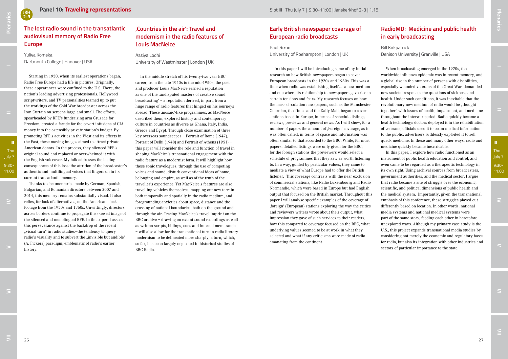**Plenaries**

### **The lost radio sound in the transatlantic audiovisual memory of Radio Free Europe**

Yuliya Komska Dartmouth College | Hanover | USA

Starting in 1950, when its earliest operations began, Radio Free Europe had a life in pictures. Originally, these appearances were confined to the U.S. There, the nation's leading advertising professionals, Hollywood scriptwriters, and TV personalities teamed up to put the workings of the Cold War broadcaster across the Iron Curtain on screens large and small. The efforts, spearheaded by RFE's fundraising arm Crusade for Freedom, created a façade for the covert infusions of CIA money into the ostensibly private station's budget. By promoting RFE's activities in the West and its effects in the East, these moving images aimed to attract private American donors. In the process, they silenced RFE's original sound and replaced or overwhelmed it with the English voiceover. My talk addresses the lasting consequences of this loss: the attrition of the broadcaster's authentic and multilingual voices that lingers on in its current transatlantic memory.

Thanks to documentaries made by German, Spanish, Bulgarian, and Romanian directors between 2007 and 2014, this memory remains substantially visual. It also relies, for lack of alternatives, on the American stock footage from the 1950s and 1960s. Unwittingly, directors across borders continue to propagate the skewed image of the silenced and monolingual RFE. In the paper, I assess this perseverance against the backdrop of the recent "visual turn" in radio studies—the tendency to query radio's visuality and to subvert the "invisible but audible" (A. Fickers) paradigm, emblematic of radio's earlier history.

**JKH 2-3**

### **,Countries in the air': Travel and modernism in the radio features of Louis MacNeice**

Aasiya Lodhi University of Westminster | London | UK

In the middle stretch of his twenty-two year BBC career, from the late 1940s to the mid-1950s, the poet and producer Louis MacNeice earned a reputation as one of the ,undisputed masters of creative sound broadcasting' – a reputation derived, in part, from a huge range of radio features that hinged on his journeys abroad. These ,mosaic'-like programmes, as MacNeice described them, explored history and contemporary culture in countries as diverse as Ghana, Italy, India, Greece and Egypt. Through close examination of three key overseas soundscapes – Portrait of Rome (1947), Portrait of Delhi (1948) and Portrait of Athens (1951) – this paper will consider the role and function of travel in shaping MacNeice's transnational engagement with the radio feature as a modernist form. It will highlight how these sonic travelogues, through the use of competing voices and sound, disturb conventional ideas of home, belonging and empire, as well as of the truth of the traveller's experience. Yet MacNeice's features are also travelling vehicles themselves, mapping out new terrain both temporally and spatially in the radio medium, and foregrounding anxieties about space, distance and the crossing of national boundaries, both on the ground and through the air. Tracing MacNeice's travel imprint on the BBC archive – drawing on extant sound recordings as well as written scripts, billings, cues and internal memoranda – will also allow for the transnational turn in radio-literary modernism to be delineated more sharply; a turn, which, so far, has been largely neglected in historical studies of BBC Radio.

**III**\_

**I II III IV V VI VII III** Thu July 7 9:30- 11:00

 $\overline{z}$ 

 $\leq$ 

Thu\_ July 7\_ 9:30-\_ 11:00\_

 $\leq$ 

 $\geq$ 

26 and the contract of the contract of the contract of the contract of the contract of the contract of the contract of the contract of the contract of the contract of the contract of the contract of the contract of the con

Paul Rixon University of Roehampton | London | UK

In this paper I will be introducing some of my initial research on how British newspapers began to cover European broadcasts in the 1920s and 1930s. This was a time when radio was establishing itself as a new medium and one where its relationship to newspapers gave rise to certain tensions and fears. My research focuses on how the mass circulation newspapers, such as the Manchester Guardian, the Times and the Daily Mail, began to cover stations based in Europe, in terms of schedule listings, reviews, previews and general news. As I will show, for a number of papers the amount of ,Foreign' coverage, as it was often called, in terms of space and information was often similar to that accorded to the BBC. While, for most papers, detailed listings were only given for the BBC, for the foreign stations the previewers would select a schedule of programmes that they saw as worth listening to. In a way, guided by particular values, they came to mediate a view of what Europe had to offer the British listener. This coverage contrasts with the near exclusion of commercial stations, like Radio Luxembourg and Radio Normandie, which were based in Europe but had English output that focused on the British market. Throughout this paper I will analyse specific examples of the coverage of ,foreign' (European) stations exploring the way the critics and reviewers writers wrote about their output, what impression they gave of such services to their readers, how this compared to coverage focused on the BBC, what underlying values seemed to be at work in what they selected and what if any criticisms were made of radio emanating from the continent.

### **RadioMD: Medicine and public health in early broadcasting**

Bill Kirkpatrick Denison University | Granville | USA

When broadcasting emerged in the 1920s, the worldwide influenza epidemic was in recent memory, and a global rise in the number of persons with disabilities, especially wounded veterans of the Great War, demanded new societal responses the questions of sickness and health. Under such conditions, it was inevitable that the revolutionary new medium of radio would be "thought together" with issues of health, impairment, and medicine throughout the interwar period. Radio quickly became a health technology: doctors deployed it in the rehabilitation of veterans, officials used it to beam medical information to the public, advertisers ruthlessly exploited it to sell quack medicine. In these and many other ways, radio and medicine quickly became inextricable.

In this paper, I explore how radio functioned as an instrument of public health education and control, and even came to be regarded as a therapeutic technology in its own right. Using archival sources from broadcasters, government authorities, and the medical sector, I argue that radio became a site of struggle over the economic, scientific, and political dimensions of public health and the medical system. Importantly, given the transnational emphasis of this conference, these struggles played out differently based on location. In other words, national media systems and national medical systems were part of the same story, feeding each other in heretofore unexplored ways. Although my primary case study is the U.S., this project expands transnational media studies by considering not merely the economic and regulatory bases for radio, but also its integration with other industries and sectors of particular importance to the state.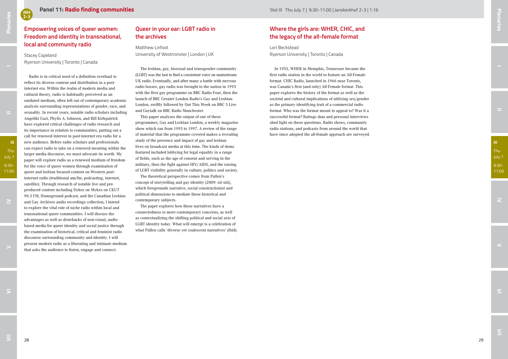

**2-3**

### **Empowering voices of queer women: Freedom and identity in transnational, local and community radio**

### Stacey Copeland Ryerson University | Toronto | Canada

Radio is in critical need of a definition overhaul to reflect its diverse content and distribution in a postinternet era. Within the realm of modern media and cultural theory, radio is habitually perceived as an outdated medium, often left out of contemporary academic analysis surrounding representations of gender, race, and sexuality. In recent years, notable radio scholars including Angeliki Gazi, Phylis A. Johnson, and Bill Kirkpatrick have explored critical challenges of radio research and its importance in relation to communities, putting out a call for renewed interest in post-internet era radio for a new audience. Before radio scholars and professionals can expect radio to take on a renewed meaning within the larger media discourse, we must advocate its worth. My paper will explore radio as a renewed medium of freedom for the voice of queer women through examination of queer and lesbian focused content on Western postinternet radio (traditional am/fm, podcasting, internet, satellite). Through research of notable live and preproduced content including Dykes on Mykes on CKUT 90.3 FM, Homoground podcast, and the Canadian Lesbian and Gay Archives audio recordings collection, I intend to explore the vital role of niche radio within local and transnational queer communities. I will discuss the advantages as well as drawbacks of non-visual, audiobased media for queer identity and social justice through the examination of historical, critical and feminist radio discourse surrounding community and identity. I will present modern radio as a liberating and intimate medium that asks the audience to listen, engage and connect.

### **Queer in your ear: LGBT radio in the archives**

Matthew Linfoot University of Westminster | London | UK

The lesbian, gay, bisexual and transgender community (LGBT) was the last to find a consistent voice on mainstream UK radio. Eventually, and after many a battle with nervous radio bosses, gay radio was brought to the nation in 1993 with the first gay programme on BBC Radio Four, then the launch of BBC Greater London Radio's Gay and Lesbian London, swiftly followed by Out This Week on BBC 5 Live and Gaytalk on BBC Radio Manchester.

This paper analyses the output of one of these programmes, Gay and Lesbian London, a weekly magazine show which ran from 1993 to 1997. A review of the range of material that the programme covered makes a revealing study of the presence and impact of gay and lesbian lives on broadcast media at this time. The kinds of items featured included lobbying for legal equality in a range of fields, such as the age of consent and serving in the military, then the fight against HIV/AIDS, and the raising of LGBT visibility generally in culture, politics and society.

The theoretical perspective comes from Pullen's concept of storytelling and gay identity (2009: xii-xiii), which foregrounds narrative, social constructionist and political dimensions to mediate these historical and contemporary subjects.

The paper explores how these narratives have a connectedness to more contemporary concerns, as well as contextualizing the shifting political and social axis of LGBT identity today. What will emerge is a celebration of what Pullen calls 'diverse yet coalescent narratives' (ibid).

**III**\_

Thu\_ July 7\_ 9:30-\_ 11:00\_

 $\geq$ 

### **Where the girls are: WHER, CHIC, and the legacy of the all-female format**

Lori Beckstead Ryerson University | Toronto | Canada

In 1955, WHER in Memphis, Tennessee became the first radio station in the world to feature an All-Female format. CHIC Radio, launched in 1966 near Toronto, was Canada's first (and only) All-Female format. This paper explores the history of the format as well as the societal and cultural implications of utilizing sex/gender as the primary identifying trait of a commercial radio format. Who was the format meant to appeal to? Was it a successful format? Ratings data and personal interviews shed light on these questions. Radio shows, community radio stations, and podcasts from around the world that have since adopted the all-female approach are surveyed.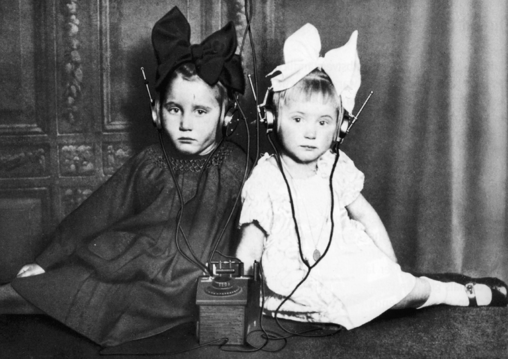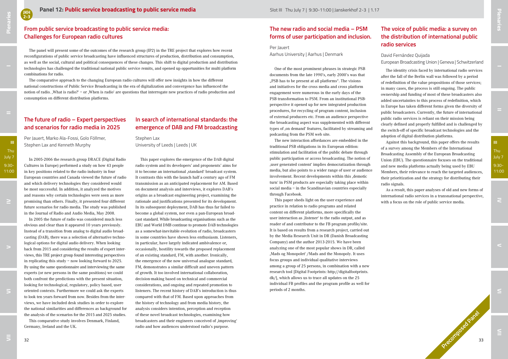**2-3**

### **From public service broadcasting to public service media: Challenges for European radio cultures**

The panel will present some of the outcomes of the research group (IP2) in the TRE project that explores how recent reconfigurations of public service broadcasting have influenced structures of production, distribution and consumption, as well as the social, cultural and political consequences of these changes. This shift to digital production and distribution technologies has challenged the traditional national public service remits, and opened up opportunities for multi platform combinations for radio.

The comparative approach to the changing European radio cultures will offer new insights in how the different national constructions of Public Service Broadcasting in the era of digitalization and convergence has influenced the notion of radio. ,What is radio?' – or ,When is radio' are questions that interrogate new practices of radio production and consumption on different distribution platforms.

### **The future of radio – Expert perspectives and scenarios for radio media in 2025**

Per Jauert, Marko Ala-Fossi, Golo Föllmer, Stephen Lax and Kenneth Murphy

In 2005-2006 the research group DRACE (Digital Radio Cultures in Europe) performed a study on how 43 people in key positions related to the radio industry in four European countries and Canada viewed the future of radio and which delivery technologies they considered would be most successful. In addition, it analyzed the motives and reasons why certain technologies were seen as more promising than others. Finally, it presented four different future scenarios for radio media. The study was published in the Journal of Radio and Audio Media, May 2008.

In 2005 the future of radio was considered much less obvious and clear than it appeared 10 years previously. Instead of a transition from analog to digital audio broadcasting (DAB), there was a selection of alternative technological options for digital audio delivery. When looking back from 2015 and considering the results of expert interviews, this TRE project group found interesting perspectives in replicating this study – now looking forward to 2025. By using the same questionnaire and interviewing the same experts (or new persons in the same positions) we could both confront the predictions with the present situation, looking for technological, regulatory, policy based, user oriented contexts. Furthermore we could ask the experts to look ten years forward from now. Besides from the interviews, we have included desk studies in order to explore the national similarities and differences as background for the analysis of the scenarios for the 2015 and 2025 studies.

This comparative study involves Denmark, Finland, Germany, Ireland and the UK.

### **In search of international standards: the emergence of DAB and FM broadcasting**

Stephen Lax University of Leeds | Leeds | UK

**I II III IV V VI VII III** Thu July 7 9:30- 11:00

 $\overline{z}$ 

 $\leq$ 

 $32$ **Precomposed Panel** 

This paper explores the emergence of the DAB digital radio system and its developers' and proponents' aims for it to become an international ,standard' broadcast system. It contrasts this with the launch half a century ago of FM transmission as an anticipated replacement for AM. Based on document analysis and interviews, it explores DAB's origins as a broadcast engineering project, examining the rationale and justifications presented for its development. In its subsequent deployment, DAB has thus far failed to become a global system, nor even a pan-European broadcast standard. While broadcasting organisations such as the EBU and World DMB continue to promote DAB technologies as a somewhat-inevitable evolution of radio, broadcasters in some countries have shown less enthusiasm. Listeners, in particular, have largely indicated ambivalence or, occasionally, hostility towards the proposed replacement of an existing standard, FM, with another. Ironically, the emergence of the now universal analogue standard, FM, demonstrates a similar difficult and uneven pattern of growth. It too involved international collaboration, decision-making based on technical and commercial considerations, and ongoing and repeated promotion to listeners. The recent history of DAB's introduction is thus compared with that of FM. Based upon approaches from the history of technology and from media history, the analysis considers intention, perception and reception of these novel broadcast technologies, examining how broadcasters and their engineers conceived of ,improving' radio and how audiences understood radio's purpose.

**III**\_

Thu\_ July 7\_ 9:30-\_ 11:00\_

 $\geq$ 

### **The new radio and social media – PSM forms of user participation and inclusion.**

Per Jauert Aarhus University | Aarhus | Denmark

One of the most prominent phrases in strategic PSB documents from the late 1990's, early 2000's was that "PSB has to be present at all platforms". The visions and initiatives for the cross media and cross platform engagement were numerous in the early days of the PSB transformation to PSM. From an institutional PSBperspective it opened up for new integrated production procedures, for recycling of program content, inclusion of external producers etc. From an audience perspective the broadcasting aspect was supplemented with different types of ,on demand' features, facilitated by streaming and podcasting from the PSM web site.

The new interaction affordances are embedded in the traditional PSB obligations in its European edition: stimulation and facilitation of the public debate through public participation or access broadcasting. The notion of ,user generated content' implies democratization through media, but also points to a wider range of user or audience involvement. Recent developments within this ,demotic turn' in PSM products are especially taking place within social media – in the Scandinavian countries especially through Facebook.

This paper sheds light on the user experience and practice in relation to radio programs and related content on different platforms, more specifically the user interaction as ,listener' to the radio output, and as reader of and contributor to the FB program profile/site. It is based on results from a research project, carried out by the Media Research Unit in DR (Danish Broadcasting Company) and the author 2013-2015. We have been analyzing one of the most popular shows in DR, called ,Mads og Monopolet' /Mads and the Monopoly. It uses focus groups and individual qualitative interviews among a group of 25 persons, in combination with a new research tool [Digital Footprints: http://digitalfootprints. dk/], which allows us to trace all updates on the 25 individual FB profiles and the program profile as well for periods of 2 months.

### **The voice of public media: a survey on the distribution of international public radio services**

David Fernández Quijada European Broadcasting Union | Geneva | Schwitzerland

The identity crisis faced by international radio services after the fall of the Berlin wall was followed by a period of redefinition of the value propositions of those services; in many cases, the process is still ongoing. The public ownership and funding of most of these broadcasters also added uncertainties to this process of redefinition, which in Europe has taken different forms given the diversity of public broadcasters. Currently, the future of international public radio services is reliant on their mission being clearly defined and properly fulfilled and is challenged by the switch-off of specific broadcast technologies and the adoption of digital distribution platforms.

Against this background, this paper offers the results of a survey among the Members of the International Broadcasting Assembly of the European Broadcasting Union (EBU). The questionnaire focuses on the traditional and new media platforms actually being used by EBU Members, their relevance to reach the targeted audiences, their prioritization and the strategy for distributing their radio signals.

As a result, this paper analyses of old and new forms of international radio services in a transnational perspective, with a focus on the role of public service media.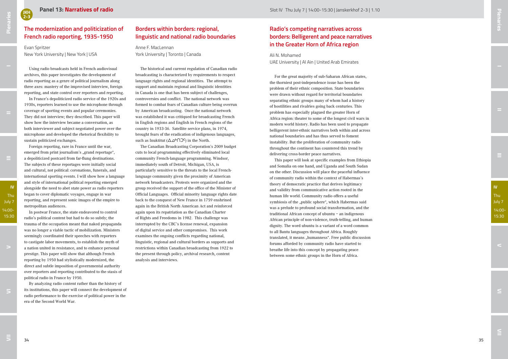

### **The modernization and politicization of French radio reporting, 1935-1950**

Evan Spritzer New York University | New York | USA

Using radio broadcasts held in French audiovisual archives, this paper investigates the development of radio reporting as a genre of political journalism along three axes: mastery of the improvised interview, foreign reporting, and state control over reporters and reporting.

In France's depoliticized radio service of the 1920s and 1930s, reporters learned to use the microphone through coverage of sporting events and popular ceremonies. They did not interview; they described. This paper will show how the interview became a conversation, as both interviewer and subject negotiated power over the microphone and developed the rhetorical flexibility to sustain politicized exchanges.

Foreign reporting, rare in France until the war, emerged from print journalism's "grand reportage", a depoliticized postcard from far-flung destinations. The subjects of these reportages were initially social and cultural, not political: coronations, funerals, and international sporting events. I will show how a language and style of international political reporting emerged alongside the need to abet state power as radio reporters began to cover diplomatic voyages, engage in war reporting, and represent sonic images of the empire to metropolitan audiences.

The historical and current regulation of Canadian radio broadcasting is characterized by requirements to respect language rights and regional identities. The attempt to support and maintain regional and linguistic identities in Canada is one that has been subject of challenges, controversies and conflict. The national network was formed to combat fears of Canadian culture being overrun by American broadcasting. Once the national network was established it was critiqued for broadcasting French in English regions and English in French regions of the country in 1933-36. Satellite service plans, in 1974, brought fears of the eradication of indigenous languages, such as Inuktitut (∆∆<sup>6</sup>∩⊃<sup>c</sup>) in the North.

In postwar France, the state endeavored to control radio's political content but had to do so subtly; the trauma of the occupation meant that naked propaganda was no longer a viable tactic of mobilization. Ministers seemingly coordinated their speeches with reporters to castigate labor movements, to establish the myth of a nation united in resistance, and to enhance personal prestige. This paper will show that although French reporting by 1950 had stylistically modernized, the direct and subtle imposition of governmental authority over reporters and reporting contributed to the stasis of political radio in France by 1950.

By analyzing radio content rather than the history of its institutions, this paper will connect the development of radio performance to the exercise of political power in the era of the Second World War.

### **Borders within borders: regional, linguistic and national radio boundaries**

Anne F. MacLennan York University | Toronto | Canada

The Canadian Broadcasting Corporation's 2009 budget cuts to local programming effectively eliminated local community French-language programming. Windsor, immediately south of Detroit, Michigan, USA, is particularly sensitive to the threats to the local Frenchlanguage community given the proximity of American network broadcasters. Protests were organized and the group received the support of the office of the Minister of Official Languages. Official minority language rights date back to the conquest of New France in 1759 enshrined again in the British North American Act and reinforced again upon its repatriation as the Canadian Charter of Rights and Freedoms in 1982. This challenge was interrupted by the CBC's license renewal, expansion of digital service and other compromises. This work examines the ongoing conflicts regarding national, linguistic, regional and cultural borders as supports and restrictions within Canadian broadcasting from 1922 to the present through policy, archival research, content analysis and interviews.

**IV**

Е

Thu July 7 14:00- 15:30 \_

### **Radio's competing narratives across borders: Belligerent and peace narratives in the Greater Horn of Africa region**

### Ali N. Mohamed UAE University | Al Ain | United Arab Emirates

For the great majority of sub-Saharan African states, the thorniest post-independence issue has been the problem of their ethnic composition. State boundaries were drawn without regard for territorial boundaries separating ethnic groups many of whom had a history of hostilities and rivalries going back centuries. This problem has especially plagued the greater Horn of Africa region: theater to some of the longest civil wars in modern world history. Radio has been used to propagate belligerent inter-ethnic narratives both within and across national boundaries and has thus served to foment instability. But the proliferation of community radio throughout the continent has countered this trend by delivering cross-border peace narratives.

This paper will look at specific examples from Ethiopia and Somalia on one hand, and Uganda and South Sudan on the other. Discussion will place the peaceful influence of community radio within the context of Habermas's theory of democratic practice that derives legitimacy and validity from communicative action rooted in the human life world. Community radio offers a useful symbiosis of the "public sphere", which Habermas said was a prelude to profound social transformation, and the traditional African concept of ubuntu – an indigenous African principle of non-violence, truth-telling, and human dignity. The word ubuntu is a variant of a word common to all Bantu languages throughout Africa. Roughly translated, it means "humanness". Free public discussion forums afforded by community radio have started to breathe life into this concept by propagating peace between some ethnic groups in the Horn of Africa.

 $\overline{5}$ 

**JKH 2-3**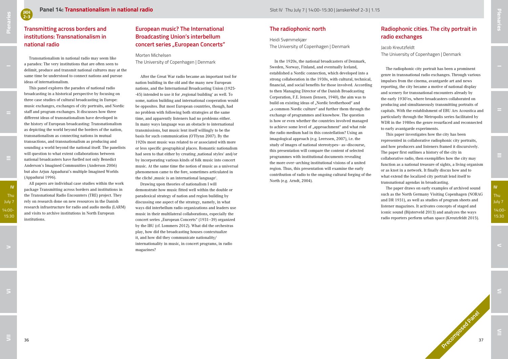# **Plenaries**

# **VII VI V IV III II I Plenaries** Plenari

**2-3**

### **Transmitting across borders and institutions: Transnationalism in national radio**

Transnationalism in national radio may seem like a paradox: The very institutions that are often seen to delimit, produce and transmit national cultures may at the same time be understood to connect nations and pursue ideas of internationalism.

This panel explores the paradox of national radio broadcasting in a historical perspective by focusing on three case studies of cultural broadcasting in Europe: music exchanges, exchanges of city portraits, and Nordic staff and program exchanges. It discusses how three different ideas of transnationalism have developed in the history of European broadcasting: Transnationalism as depicting the world beyond the borders of the nation, transnationalism as connecting nations in mutual transactions, and transnationalism as producing and sounding a world beyond the national itself. The panelists will question to what extent collaborations between national broadcasters have fuelled not only Benedict Anderson's Imagined Communities (Anderson 2006) but also Arjun Appadurai's multiple Imagined Worlds (Appadurai 1996).

All papers are individual case studies within the work package Transmitting across borders and institutions in the Transnational Radio Encounters (TRE) project. They rely on research done on new resources in the Danish research infrastructure for radio and audio media (LARM) and visits to archive institutions in North European institutions.

### **European music? The International Broadcasting Union's interbellum concert series "European Concerts"**

Morten Michelsen

The University of Copenhagen | Denmark

After the Great War radio became an important tool for nation building in the old and the many new European nations, and the International Broadcasting Union (1925- -45) intended to use it for ,regional building' as well. To some, nation building and international cooperation would be opposites. But most European countries, though, had no problem with following both strategies at the same time, and apparently listeners had no problems either. In many ways language was an obstacle to international transmissions, but music lent itself willingly to be the basis for such communication (O'Flynn 2007). By the 1920s most music was related to or associated with more or less specific geographical places. Romantic nationalism had seen to that either by creating ,national styles' and/or by incorporating various kinds of folk music into concert music. At the same time the notion of music as a universal phenomenon came to the fore, sometimes articulated in the cliché ,music is an international language'.



 $\leq$ 

Drawing upon theories of nationalism I will demonstrate how music fitted well within the double or paradoxical strategy of nation and region building by discussing one aspect of the strategy, namely, in what ways did interbellum radio organizations and leaders use music in their multilateral collaborations, especially the concert series "European Concerts" (1931–39) organized by the IBU (cf. Lommers 2012). What did the orchestras play, how did the broadcasting houses contextualize it, and how did they communicate nationality/ internationality in music, in concert programs, in radio magazines?

**IV**\_

Thu\_ July 7\_ 14:00-\_ 15:30\_

### **The radiophonic north**

### Heidi Svømmekjær The University of Copenhagen | Denmark

In the 1920s, the national broadcasters of Denmark, Sweden, Norway, Finland, and eventually Iceland, established a Nordic connection, which developed into a strong collaboration in the 1930s, with cultural, technical, financial, and social benefits for those involved. According to then Managing Director of the Danish Broadcasting Corporation, F.E. Jensen (Jensen, 1940), the aim was to build on existing ideas of "Nordic brotherhood" and "a common Nordic culture" and further them through the exchange of programmes and knowhow. The question is how or even whether the countries involved managed to achieve some level of "approachment" and what role the radio medium had in this constellation? Using an imagological approach (e.g. Leerssen, 2007), i.e. the study of images of national stereotypes-- as--discourse, this presentation will compare the content of selected programmes with institutional documents revealing the more over-arching institutional visions of a united region. Thus, this presentation will examine the early contribution of radio to the ongoing cultural forging of the North (e.g. Arndt, 2004).

### **Radiophonic cities. The city portrait in radio exchanges**

Jacob Kreutzfeldt The University of Copenhagen | Denmark

The radiophonic city portrait has been a prominent genre in transnational radio exchanges. Through various impulses from the cinema, avantgarde art and news reporting, the city became a motive of national display and scenery for transnational encounters already by the early 1930'es, where broadcasters collaborated on producing and simultaneously transmitting portraits of capitals. With the establishment of EBU Ars Acoustica and particularly through the Metropolis series facilitated by WDR in the 1980es the genre resurfaced and reconnected to early avantgarde experiments.

This paper investigates how the city has been represented in collaborative radiophonic city portraits, and how producers and listeners framed it discursively. The paper first outlines a history of the city in collaborative radio, then exemplifies how the city may function as a national treasure of sights, a living organism or as knot in a network. It finally discus how and to what extend the localized city portrait lend itself to transnational agendas in broadcasting.

The paper draws on early examples of archived sound such as the North Germany Visiting Copenhagen (NORAG and DR 1931), as well as studies of program sheets and listener magazines. It activates concepts of staged and iconic sound (Bijsterveld 2013) and analyzes the ways radio reporters perform urban space (Kreutzfeldt 2015).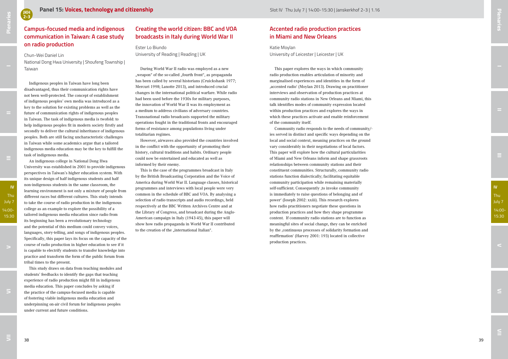

### **Campus-focused media and indigenous communication in Taiwan: A case study on radio production**

### Chun-Wei Daniel Lin

National Dong Hwa University | Shoufeng Township | Taiwan

Indigenous peoples in Taiwan have long been disadvantaged, thus their communication rights have not been well-protected. The concept of establishment of indigenous peoples' own media was introduced as a key to the solution for existing problems as well as the future of communication rights of indigenous peoples in Taiwan. The task of indigenous media is twofold: to help indigenous peoples fit in modern society firstly and secondly to deliver the cultural inheritance of indigenous peoples. Both are still facing uncharacteristic challenges in Taiwan while some academics argue that a tailored indigenous media education may be the key to fulfill the task of indigenous media.

An indigenous college in National Dong Hwa University was established in 2001 to provide indigenous perspectives in Taiwan's higher education system. With its unique design of half indigenous students and half non-indigenous students in the same classroom, the learning environment is not only a mixture of people from different races but different cultures. This study intends to take the course of radio production in the indigenous college as an example to explore the possibility of a tailored indigenous media education since radio from its beginning has been a revolutionary technology and the potential of this medium could convey voices, languages, story-telling, and songs of indigenous peoples. Specifically, this paper lays its focus on the capacity of the course of radio production in higher education to see if it is capable to electrify students to transfer knowledge into practice and transform the form of the public forum from tribal times to the present.

This is the case of the programmes broadcast in Italy by the British Broadcasting Corporation and the Voice of America during World War II. Language classes, historical programmes and interviews with local people were very common in the schedule of BBC and VOA. By analysing a selection of radio transcripts and audio recordings, held respectively at the BBC Written Archives Centre and at the Library of Congress, and broadcast during the Anglo-American campaign in Italy (1943-45), this paper will show how radio propaganda in World War II contributed to the creation of the "international Italian".

This study draws on data from teaching modules and students' feedbacks to identify the gaps that teaching experience of radio production might fill in indigenous media education. This paper concludes by asking if the practice of the campus-focused media is capable of fostering viable indigenous media education and underpinning on-air civil forum for indigenous peoples under current and future conditions.

### **Creating the world citizen: BBC and VOA broadcasts in Italy during World War II**

Ester Lo Biundo University of Reading | Reading | UK

During World War II radio was employed as a new weapon<sup>"</sup> of the so-called , fourth front", as propaganda has been called by several historians (Cruickshank 1977; Mercuri 1998; Lanotte 2013), and introduced crucial changes in the international political warfare. While radio had been used before the 1930s for military purposes, the innovation of World War II was its employment as a medium to address civilians of adversary countries. Transnational radio broadcasts supported the military operations fought in the traditional fronts and encouraged forms of resistance among populations living under totalitarian regimes.

However, airwaves also provided the countries involved in the conflict with the opportunity of promoting their history, cultural traditions and habits. Ordinary people could now be entertained and educated as well as informed by their enemy.

**JKH 2-3**

**IV**

Е

Thu July 7 14:00- 15:30 \_

### **Accented radio production practices in Miami and New Orleans**

### Katie Moylan University of Leicester | Leicester | UK

This paper explores the ways in which community radio production enables articulation of minority and marginalised experiences and identities in the form of ,accented radio' (Moylan 2013). Drawing on practitioner interviews and observation of production practices at community radio stations in New Orleans and Miami, this talk identifies modes of community expression located within production practices and explores the ways in which these practices activate and enable reinforcement of the community itself.

Community radio responds to the needs of community/ ies served in distinct and specific ways depending on the local and social context, meaning practices on the ground vary considerably in their negotiations of local factors. This paper will explore how the cultural particularities of Miami and New Orleans inform and shape grassroots relationships between community stations and their constituent communities. Structurally, community radio stations function dialectically; facilitating equitable community participation while remaining materially self-sufficient. Consequently ,to invoke community is immediately to raise questions of belonging and of power' (Joseph 2002: xxiii). This research explores how radio practitioners negotiate these questions in production practices and how they shape programme content. If community radio stations are to function as meaningful sites of social change, they can be enriched by the ,continuous processes of solidarity formation and reaffirmation' (Harvey 2001: 193) located in collective production practices.

 $\overline{5}$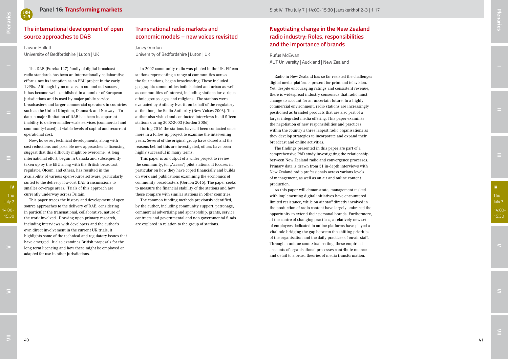

### **The international development of open source approaches to DAB**

Lawrie Hallett University of Bedfordshire | Luton | UK

The DAB (Eureka 147) family of digital broadcast radio standards has been an internationally collaborative effort since its inception as an EBU project in the early 1990s. Although by no means an out and out success, it has become well established in a number of European jurisdictions and is used by major public service broadcasters and larger commercial operators in countries such as the United Kingdom, Denmark and Norway. To date, a major limitation of DAB has been its apparent inability to deliver smaller-scale services (commercial and community-based) at viable levels of capital and recurrent operational cost.

Now, however, technical developments, along with cost reductions and possible new approaches to licensing suggest that this difficulty might be overcome. A long international effort, begun in Canada and subsequently taken up by the EBU along with the British broadcast regulator, Ofcom, and others, has resulted in the availability of various open-source software, particularly suited to the delivery low-cost DAB transmissions to smaller coverage areas. Trials of this approach are currently underway across Britain.

This paper traces the history and development of opensource approaches to the delivery of DAB, considering in particular the transnational, collaborative, nature of the work involved. Drawing upon primary research, including interviews with developers and the author's own direct involvement in the current UK trials, it highlights some of the technical and regulatory issues that have emerged. It also examines British proposals for the long-term licencing and how these might be employed or adapted for use in other jurisdictions.

### **Transnational radio markets and economic models – new voices revisited**

Janey Gordon University of Bedfordshire | Luton | UK

In 2002 community radio was piloted in the UK. Fifteen stations representing a range of communities across the four nations, began broadcasting. These included geographic communities both isolated and urban as well as communities of interest, including stations for various ethnic groups, ages and religions. The stations were evaluated by Anthony Everitt on behalf of the regulatory at the time, the Radio Authority (New Voices 2003). The author also visited and conducted interviews in all fifteen stations during 2002-2003 (Gordon 2006).

During 2016 the stations have all been contacted once more in a follow up project to examine the intervening years. Several of the original group have closed and the reasons behind this are investigated, others have been highly successful in many terms.

This paper is an output of a wider project to review the community, (or , Access') pilot stations. It focuses in particular on how they have coped financially and builds on work and publications examining the economics of community broadcasters (Gordon 2015). The paper seeks to measure the financial stability of the stations and how these compare with similar stations in other countries.

The common funding methods previously identified, by the author, including community support, patronage, commercial advertising and sponsorship, grants, service contracts and governmental and non governmental funds are explored in relation to the group of stations.

**JKH 2-3**

**IV**\_

 $=$ 

Thu\_ July 7\_ 14:00-\_ 15:30\_

### **Negotiating change in the New Zealand radio industry: Roles, responsibilities and the importance of brands**

### Rufus McEwan AUT University | Auckland | New Zealand

Radio in New Zealand has so far resisted the challenges digital media platforms present for print and television. Yet, despite encouraging ratings and consistent revenue, there is widespread industry consensus that radio must change to account for an uncertain future. In a highly commercial environment, radio stations are increasingly positioned as branded products that are also part of a larger integrated media offering. This paper examines the negotiation of new responsibilities and practices within the country's three largest radio organisations as they develop strategies to incorporate and expand their broadcast and online activities.

The findings presented in this paper are part of a comprehensive PhD study investigating the relationship between New Zealand radio and convergence processes. Primary data is drawn from 31 in-depth interviews with New Zealand radio professionals across various levels of management, as well as on-air and online content production.

As this paper will demonstrate, management tasked with implementing digital initiatives have encountered limited resistance, while on-air staff directly involved in the production of radio content have largely embraced the opportunity to extend their personal brands. Furthermore, at the centre of changing practices, a relatively new set of employees dedicated to online platforms have played a vital role bridging the gap between the shifting priorities of the organisation and the daily practices of on-air staff. Through a unique contextual setting, these empirical accounts of organisational processes contribute nuance and detail to a broad theories of media transformation.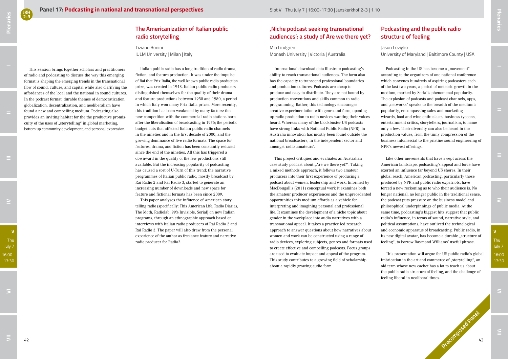**2-3**

**V**\_

Thu\_ July 7\_ 16:00-\_ 17:30\_

This session brings together scholars and practitioners of radio and podcasting to discuss the way this emerging format is shaping the emerging trends in the transnational flow of sound, culture, and capital while also clarifying the affordances of the local and the national in sound cultures. In the podcast format, durable themes of democratization, globalization, decentralization, and neoliberalism have found a new and compelling medium. Podcasting also provides an inviting habitat for the the productive promiscuity of the uses of "storytelling" in global marketing, bottom-up community development, and personal expression.

### **The Americanization of Italian public radio storytelling**

Tiziano Bonini IULM University | Milan | Italy

> **I II III IV V VI VII V** Thu July 7 16:00- 17:30

 $\overline{z}$ 

 $\leq$ 

 $43$ 

**Precomposed Panel** 

Italian public radio has a long tradition of radio drama, fiction, and feature production. It was under the impulse of Rai that Prix Italia, the well-known public radio production prize, was created in 1948. Italian public radio producers distinguished themselves for the quality of their drama and feature productions between 1950 and 1980, a period in which Italy won many Prix Italia prizes. More recently, this tradition has been weakened by many factors: the new competition with the commercial radio stations born after the liberalisation of broadcasting in 1976; the periodic budget cuts that affected Italian public radio channels in the nineties and in the first decade of 2000; and the growing dominance of live radio formats. The space for features, drama, and fiction has been constantly reduced since the end of the nineties. All this has triggered a downward in the quality of the few productions still available. But the increasing popularity of podcasting has caused a sort of U-Turn of this trend: the narrative programmes of Italian public radio, mostly broadcast by Rai Radio 2 and Rai Radio 3, started to generate an increasing number of downloads and new space for feature and fictional formats has been since 2009.

This paper analyses the influence of American storytelling radio (specifically: This American Life, Radio Diaries, The Moth, Radiolab, 99% Invisible, Serial) on new Italian programs, through an ethnographic approach based on interviews with Italian radio producers of Rai Radio 2 and Rai Radio 3. The paper will also draw from the personal experience of the author as freelance feature and narrative radio producer for Radio2.

Podcasting in the US has become a "movement" according to the organizers of one national conference which convenes hundreds of aspiring podcasters each of the last two years, a period of meteoric growth in the medium, marked by Serial's phenomenal popularity. The explosion of podcasts and podcast channels, apps, and "networks" speaks to the breadth of the medium's popularity, encompassing sales and marketing wizards, food and wine enthusiasts, business tycoons, entertainment critics, storytellers, journalism, to name only a few. Their diversity can also be heard in the production values, from the tinny compression of the business infomercial to the pristine sound engineering of NPR's newest offerings.

### **,Niche podcast seeking transnational audiences': a study of Are we there yet?**

Mia Lindgren Monash University | Victoria | Australia

International download data illustrate podcasting's ability to reach transnational audiences. The form also has the capacity to transcend professional boundaries and production cultures. Podcasts are cheap to produce and easy to distribute. They are not bound by production conventions and skills common to radio programming. Rather, this technology encourages creative experimentation with genre and form, opening up radio production to radio novices wanting their voices heard. Whereas many of the blockbuster US podcasts have strong links with National Public Radio (NPR), in Australia innovation has mostly been found outside the national broadcasters, in the independent sector and amongst radio ,amateurs'.

This project critiques and evaluates an Australian case study podcast about "Are we there yet?". Taking a mixed methods approach, it follows two amateur producers into their first experience of producing a podcast about women, leadership and work. Informed by MacDougall's (2011) conceptual work it examines both the amateur producer experiences and the unprecedented opportunities this medium affords as a vehicle for interpreting and imagining personal and professional life. It examines the development of a niche topic about gender in the workplace into audio narratives with a transnational appeal. It takes a practice-led research approach to answer questions about how narratives about women and work can be constructed using a range of radio devices, exploring subjects, genres and formats used to create effective and compelling podcasts. Focus groups are used to evaluate impact and appeal of the program. This study contributes to a growing field of scholarship about a rapidly growing audio form.

### **Podcasting and the public radio structure of feeling**

Jason Loviglio University of Maryland | Baltimore County | USA

Like other movements that have swept across the American landscape, podcasting's appeal and force have exerted an influence far beyond US shores. In their global reach, American podcasting, particularly those produced by NPR and public radio expatriots, have forced a new reckoning as to who their audience is. No longer national, no longer public in the traditional sense, the podcast puts pressure on the business model and philosophical underpinnings of public media. At the same time, podcasting's biggest hits suggest that public radio's influence, in terms of sound, narrative style, and political assumptions, have outlived the technological and economic apparatus of broadcasting. Public radio, in its new digital avatar, has become a durable "structure of feeling", to borrow Raymond Williams' useful phrase.

This presentation will argue for US public radio's global imbrication in the art and commerce of "storytelling", an old term whose new cachet has a lot to teach us about the public radio structure of feeling, and the challenge of feeling liberal in neoliberal times.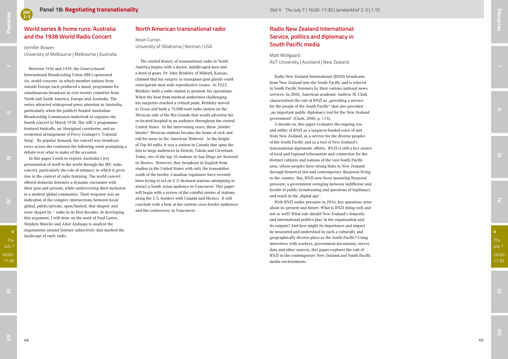

**2-3**

### **World series & home runs: Australia and the 1938 World Radio Concert**

### Jennifer Bowen

University of Melbourne | Melbourne | Australia

Between 1936 and 1939, the Geneva-based International Broadcasting Union (IBU) sponsored six ,world concerts' in which member nations from outside Europe each produced a music programme for simultaneous broadcast in over twenty countries from North and South America, Europe and Australia. The series attracted widespread press attention in Australia, particularly when the publicly funded Australian Broadcasting Commission undertook to organise the fourth concert in March 1938. The ABC's programme featured birdcalls, an Aboriginal corroboree, and an orchestral arrangement of Percy Grainger's 'Colonial Song'. By popular demand, the concert was broadcast twice across the continent the following week prompting a debate over what to make of the occasion.

In this paper I wish to explore Australia's (re) presentation of itself to the world through the IBU radio concert, particularly the role of intimacy to which it gives rise in the context of radio listening. The world concert offered domestic listeners a dynamic encounter with their past and present, while underscoring their inclusion in a modern global community. Their response was an indication of the complex intersections between local/ global, public/private, open/limited, that shaped- and were shaped by – radio in its first decades. In developing this argument, I will draw on the work of Paul Carter, Stephen Muecke and Aitor Anduaga to analyse the negotiations around listener subjectivity that marked the landscape of early radio.

### **North American transnational radio**

Kevin Curran University of Oklahoma | Norman | USA

The storied history of transnational radio in North America begins with a doctor, middle-aged men and a herd of goats. Dr. John Brinkley of Milford, Kansas, claimed that his surgery to transplant goat glands could reinvigorate men with reproductive issues. In 1923, Brinkley built a radio station to promote his operations. When the heat from medical authorities challenging his surgeries reached a critical point, Brinkley moved to Texas and built a 75,000-watt radio station on the Mexican side of the Rio Grande that would advertise his re-located hospital to an audience throughout the central United States. In the intervening years, these "border blaster" Mexican stations became the home of rock and roll for teens in the American Midwest. At the height of Top 40 radio, it was a station in Canada that spun the hits to large audiences in Detroit, Toledo and Cleveland. Today, two of the top 10 stations in San Diego are licensed in Mexico. However, they broadcast in English from studios in the United States with only the transmitter south of the border. Canadian regulators have recently been trying to act on U.S.-licensed stations attempting to attract a South Asian audience in Vancouver. This paper will begin with a review of the colorful stories of stations along the U.S. borders with Canada and Mexico. It will conclude with a look at the current cross-border audiences and the controversy in Vancouver.

**V**\_

Thu\_ July 7\_ 16:00-\_ 17:30\_

=

 $\geq$ 

### **Radio New Zealand International: Service, politics and diplomacy in South Pacific media**

### Matt Mollgaard AUT University | Auckland | New Zealand

Radio New Zealand International (RNZI) broadcasts from New Zealand into the South Pacific and is relayed to South Pacific listeners by their various national news services. In 2006, American academic Andrew M. Clark characterised the role of RNZI as "providing a service for the people of the South Pacific" that also provided "an important public diplomacy tool for the New Zealand government" (Clark, 2006, p. 113).

A decade on, this paper evaluates the ongoing use and utility of RNZI as a taxpayer-funded voice of and from New Zealand, as a service for the diverse peoples of the South Pacific and as a tool of New Zealand's transnational diplomatic efforts. RNZI is still a key source of local and regional information and connection for the distinct cultures and nations of the vast South Pacific area, whose peoples have strong links to New Zealand through historical ties and contemporary diasporas living in the country. But, RNZI now faces mounting financial pressure, a government swinging between indifferent and hostile to public broadcasting and questions of legitimacy and reach in the ,digital age'.

With RNZI under pressure in 2016, key questions arise about its present and future. What is RNZI doing well and not so well? What role should New Zealand's domestic and international politics play in the organisation and its outputs? And how might its importance and impact be measured and understood in such a culturally and geographically diverse place as the South Pacific? Using interviews with workers, government documents, survey data and other sources, this paper explores the role of RNZI in the contemporary New Zealand and South Pacific media environments.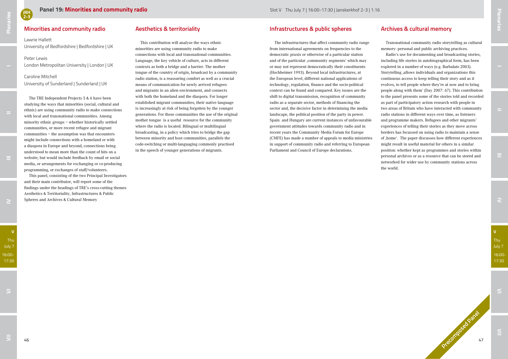# **Plenaries**

**2-3**

### **Minorities and community radio**

### Lawrie Hallett University of Bedfordshire | Bedfordshire | UK

### Peter Lewis London Metropolitan University | London | UK

### Caroline Mitchell University of Sunderland | Sunderland | UK

The TRE Independent Projects 5 & 6 have been studying the ways that minorities (social, cultural and ethnic) are using community radio to make connections with local and transnational communities. Among minority ethnic groups – whether historically settled communities, or more recent refugee and migrant communities – the assumption was that encounters might include connections with a homeland or with a diaspora in Europe and beyond, connections being understood to mean more than the count of hits on a website, but would include feedback by email or social media, or arrangements for exchanging or co-producing programming, or exchanges of staff/volunteers.

This panel, consisting of the two Principal Investigators and their main contributor, will report some of the findings under the headings of TRE's cross-cutting themes Aesthetics & Territoriality, Infrastructures & Public Spheres and Archives & Cultural Memory

### **Aesthetics & territoriality**

This contribution will analyse the ways ethnic minorities are using community radio to make connections with local and transnational communities. Language, the key vehicle of culture, acts in different contexts as both a bridge and a barrier. The mother tongue of the country of origin, broadcast by a community radio station, is a reassuring comfort as well as a crucial means of communication for newly arrived refugees and migrants in an alien environment, and connects with both the homeland and the diaspora. For longer established migrant communities, their native language is increasingly at risk of being forgotten by the younger generations. For these communities the use of the original mother tongue is a useful resource for the community where the radio is located. Bilingual or multilingual broadcasting, in a policy which tries to bridge the gap between minority and host communities, parallels the code-switching or multi-languaging commonly practised in the speech of younger generations of migrants.

46 and the contract of the contract of the contract of the contract of the contract of the contract of the contract of the contract of the contract of the contract of the contract of the contract of the contract of the con

**I II III IV V VI VII V** Thu July 7 16:00- 17:30

 $\leq$ 

 $\leq$ 

**Precomposed Panel** 

### **Infrastructures & public spheres**

The infrastructures that affect community radio range from international agreements on frequencies to the democratic praxis or otherwise of a particular station and of the particular ,community segments' which may or may not represent democratically their constituents (Hochheimer 1993). Beyond local infrastructures, at the European level, different national applications of technology, regulation, finance and the socio-political context can be found and compared. Key issues are the shift to digital transmission, recognition of community radio as a separate sector, methods of financing the sector and, the decisive factor in determining the media landscape, the political position of the party in power. Spain and Hungary are current instances of unfavourable government attitudes towards community radio and in recent years the Community Media Forum for Europe (CMFE) has made a number of appeals to media ministries in support of community radio and referring to European Parliament and Council of Europe declarations.

=

### **Archives & cultural memory**

Transnational community radio storytelling as cultural memory- personal and public archiving practices.

Radio's use for documenting and broadcasting stories, including life stories in autobiographical form, has been explored in a number of ways (e.g. Barbalato 2003). Storytelling ,allows individuals and organizations this continuous access to keep telling their story and as it evolves, to tell people where they're at now and to bring people along with them' (Day 2007: 67). This contribution to the panel presents some of the stories told and recorded as part of participatory action research with people in two areas of Britain who have interacted with community radio stations in different ways over time, as listeners and programme makers. Refugees and other migrants' experiences of telling their stories as they move across borders has focussed on using radio to maintain a sense of ,home'. The paper discusses how different experiences might result in useful material for others in a similar position: whether kept as programmes and stories within personal archives or as a resource that can be stored and networked for wider use by community stations across the world.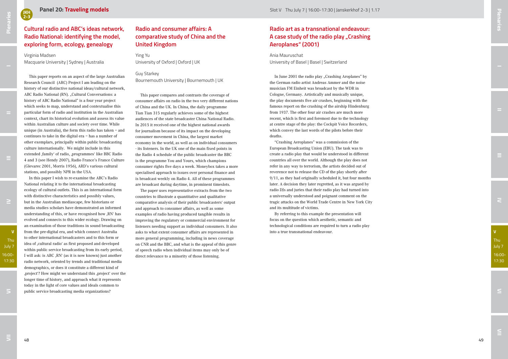

**2-3**

### **Cultural radio and ABC's ideas network, Radio National: identifying the model, exploring form, ecology, genealogy**

Virginia Madsen

Macquarie University | Sydney | Australia

This paper reports on an aspect of the large Australian Research Council (ARC) Project I am leading on the history of our distinctive national ideas/cultural network, ABC Radio National (RN). "Cultural Conversations: a history of ABC Radio National" is a four year project which seeks to map, understand and contextualise this particular form of radio and institution in the Australian context, chart its historical evolution and assess its value within Australian culture and society over time. While unique (in Australia), the form this radio has taken – and continues to take in the digital era – has a number of other exemplars, principally within public broadcasting culture internationally. We might include in this extended ,family' of radio, ,programmes' like BBC Radio 4 and 3 (see Hendy 2007), Radio France's France Culture (Glevarec 2001, Morris 1956), ARD's various cultural stations, and possibly NPR in the USA.

In this paper I wish to re-examine the ABC's Radio National relating it to the international broadcasting ecology of cultural outlets. This is an international form with distinctive characteristics and possibly values, but in the Australian mediascape, few historians or media studies scholars have demonstrated an informed understanding of this, or have recognised how ,RN' has evolved and connects to this wider ecology. Drawing on an examination of those traditions in sound broadcasting from the pre-digital era, and which connect Australia to other international broadcasters and to this form or idea of ,cultural radio' as first proposed and developed within public service broadcasting from its early period, I will ask: is ABC ,RN' (as it is now known) just another radio network, oriented by trends and traditional media demographics, or does it constitute a different kind of ,project'? How might we understand this ,project' over the longer time of history, and approach what it represents today in the light of core values and ideals common to public service broadcasting media organizations?

### **Radio and consumer affairs: A comparative study of China and the United Kingdom**

In June 2001 the radio play "Crashing Aroplanes" by the German radio artist Andreas Ammer and the noise musician FM Einheit was broadcast by the WDR in Cologne, Germany. Artistically and musically unique, the play documents five air crashes, beginning with the famous report on the crashing of the airship Hindenburg from 1937. The other four air crashes are much more recent, which is first and foremost due to the technology at centre stage of the play: the Cockpit Voice Recorders, which convey the last words of the pilots before their deaths.

Ying Yu University of Oxford | Oxford | UK

### Guy Starkey Bournemouth University | Bournemouth | UK

This paper compares and contrasts the coverage of consumer affairs on radio in the two very different nations of China and the UK. In China, the daily programme Tian Tian 315 regularly achieves some of the highest audiences of the state broadcaster China National Radio. In 2015 it received one of the highest national awards for journalism because of its impact on the developing consumer movement in China, the largest market economy in the world, as well as on individual consumers - its listeners. In the UK one of the main fixed points in the Radio 4 schedule of the public broadcaster the BBC is the programme You and Yours, which champions consumer rights five days a week. Moneybox takes a more specialised approach to issues over personal finance and is broadcast weekly on Radio 4. All of these programmes are broadcast during daytime, in prominent timeslots.

The paper uses representative extracts from the two countries to illustrate a quantitative and qualitative comparative analysis of their public broadcasters' output and approach to consumer affairs, as well as some examples of radio having produced tangible results in improving the regulatory or commercial environment for listeners needing support as individual consumers. It also asks to what extent consumer affairs are represented in more general programming, including in news coverage on CNR and the BBC, and what is the appeal of this genre of speech radio when individual items may only be of direct relevance to a minority of those listening.

**V**\_

Thu\_

### **Radio art as a transnational endeavour:**  A case study of the radio play "Crashing **Aeroplanes" (2001)**

Ania Mauruschat University of Basel | Basel | Switzerland

"Crashing Aeroplanes" was a commission of the European Broadcasting Union (EBU). The task was to create a radio play that would be understood in different countries all over the world. Although the play does not refer in any way to terrorism, the artists decided out of reverence not to release the CD of the play shortly after 9/11, as they had originally scheduled it, but four months later. A decision they later regretted, as it was argued by radio DJs and juries that their radio play had turned into a universally understood and poignant comment on the tragic attacks on the World Trade Centre in New York City and its multitude of victims.

By referring to this example the presentation will focus on the question which aesthetic, semantic and technological conditions are required to turn a radio play into a true transnational endeavour. **V**

 $\geq$ 

Е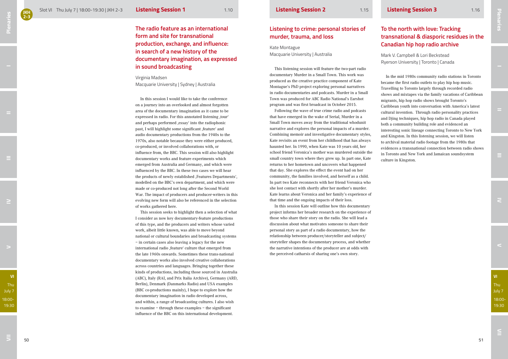$\equiv$ 

 $\overline{z}$ 

**The radio feature as an international** 

**form and site for transnational** 

**production, exchange, and influence:** 

**in search of a new history of the** 

**documentary imagination, as expressed** 

**in sound broadcasting**

Virginia Madsen

Macquarie University | Sydney | Australia

In this session I would like to take the conference on a journey into an overlooked and almost forgotten area of the documentary imagination as it came to be expressed in radio. For this annotated listening ,tour' and perhaps performed ,essay' into the radiophonic past, I will highlight some significant ,feature' and audio documentary productions from the 1940s to the 1970s, also notable because they were either produced,

co-produced, or involved collaborations with, or

influence from, the BBC. This session will also highlight documentary works and feature experiments which emerged from Australia and Germany, and which were influenced by the BBC. In these two cases we will hear the products of newly established ,Features Departments', modelled on the BBC's own department, and which were made or co-produced not long after the Second World War. The impact of producers and producer-writers in this evolving new form will also be referenced in the selection

of works gathered here.

This session seeks to highlight then a selection of what I consider as now key documentary-feature productions of this type, and the producers and writers whose varied work, albeit little known, was able to move beyond national or cultural boundaries and broadcasting systems

– in certain cases also leaving a legacy for the new international radio ,feature' culture that emerged from the late 1960s onwards. Sometimes these trans-national documentary works also involved creative collaborations across countries and languages. Bringing together these kinds of productions, including those sourced in Australia (ABC), Italy (RAI, and Prix Italia Archive), Germany (ARD, Berlin), Denmark (Danmarks Radio) and USA examples (BBC co-productions mainly), I hope to explore how the documentary imagination in radio developed across, and within, a range of broadcasting cultures. I also wish to examine – through these examples – the significant influence of the BBC on this international development.

**VI**\_

**2-3**

### **Listening to crime: personal stories of murder, trauma, and loss**

Kate Montague Macquarie University | Australia

> **I II III IV V VI VII VI** Thu July 7 18:00- 19:30

 $\leq$ 

This listening session will feature the two-part radio documentary Murder in a Small Town. This work was produced as the creative practice component of Kate Montague's PhD project exploring personal narratives in radio documentaries and podcasts. Murder in a Small Town was produced for ABC Radio National's Earshot program and was first broadcast in October 2015.

Following the wave of true crime radio and podcasts that have emerged in the wake of Serial, Murder in a Small Town moves away from the traditional whodunit narrative and explores the personal impacts of a murder. Combining memoir and investigative documentary styles, Kate revisits an event from her childhood that has always haunted her. In 1990, when Kate was 10 years old, her school friend Veronica's mother was murdered outside the small country town where they grew up. In part one, Kate returns to her hometown and uncovers what happened that day. She explores the effect the event had on her community, the families involved, and herself as a child. In part two Kate reconnects with her friend Veronica who she lost contact with shortly after her mother's murder. Kate learns about Veronica and her family's experience of that time and the ongoing impacts of their loss.

In this session Kate will outline how this documentary project informs her broader research on the experience of those who share their story on the radio. She will lead a discussion about what motivates someone to share their personal story as part of a radio documentary, how the relationship between producer/storyteller and subject/ storyteller shapes the documentary process, and whether the narrative intentions of the producer are at odds with the perceived catharsis of sharing one's own story.

### **To the north with love: Tracking transnational & diasporic residues in the Canadian hip hop radio archive**

Mark V. Campbell & Lori Beckstead Ryerson University | Toronto | Canada

In the mid 1980s community radio stations in Toronto became the first radio outlets to play hip hop music. Travelling to Toronto largely through recorded radio shows and mixtapes via the family vacations of Caribbean migrants, hip hop radio shows brought Toronto's Caribbean youth into conversation with America's latest cultural invention. Through radio personality practices and Djing techniques, hip hop radio in Canada played both a community building role and evidenced an interesting sonic lineage connecting Toronto to New York and Kingston. In this listening session, we will listen to archival material radio footage from the 1980s that evidences a transnational connection between radio shows in Toronto and New York and Jamaican soundsystem culture in Kingston.

### **Listening Session 2** 1.15 **Listening Session 3** 1.16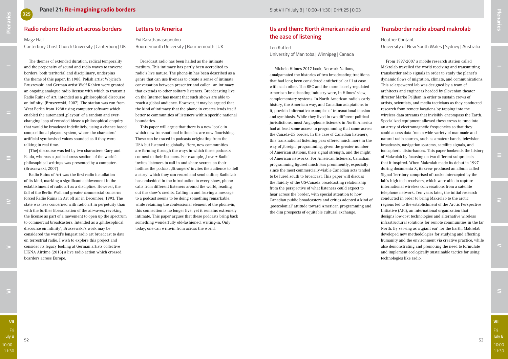52 53

Е

 $\geq$ 

 $\lt$ 

 $\leq$ 

### **Radio reborn: Radio art across borders**

### Magz Hall

Canterbury Christ Church University | Canterbury | UK

The themes of extended duration, radical temporality and the propensity of sound and radio waves to traverse borders, both territorial and disciplinary, underpins the theme of this paper. In 1988, Polish artist Wojciech Bruszewski and German artist Wolf Kahlen were granted an ongoing analogue radio license with which to transmit Radio Ruins of Art, intended as a ,philosophical discourse on infinity' (Bruszewski, 2007). The station was run from West Berlin from 1988 using computer software which enabled the automated ,playout' of a random and everchanging loop of recorded ideas: a philosophical enquiry that would be broadcast indefinitely, using a chance-based compositional playout system, where the characters' artificial synthesised voices sounded as if they were talking in real time.

[The] discourse was led by two characters: Gary and Paula, whereas a ,radical cross-section' of the world's philosophical writings was presented by a computer. (Bruszewski, 2007)

Radio Ruins of Art was the first radio installation of its kind, marking a significant achievement in the establishment of radio art as a discipline. However, the fall of the Berlin Wall and greater commercial concerns forced Radio Ruins in Art off air in December, 1993. The state was less concerned with radio art in perpetuity than with the further liberalisation of the airwaves, revoking the license as part of a movement to open up the spectrum to commercial broadcasters. Intended as a ,philosophical discourse on infinity', Bruszewski's work may be considered the world's longest radio art broadcast to date on terrestrial radio. I wish to explore this project and consider its legacy looking at German artists collective LIGNA Airtime (2013) a live radio action which crossed boarders across Europe.

### **Letters to America**

Evi Karathanasopoulou Bournemouth University | Bournemouth | UK

Broadcast radio has been hailed as the intimate medium. This intimacy has partly been accredited to radio's live nature. The phone-in has been described as a genre that can use liveness to create a sense of intimate conversation between presenter and caller - an intimacy that extends to other solitary listeners. Broadcasting live on the Internet has meant that such shows are able to reach a global audience. However, it may be argued that the kind of intimacy that the phone-in creates lends itself better to communities of listeners within specific national boundaries.

This paper will argue that there is a new locale in which new transnational intimacies are now flourishing. These can be traced in podcasts originating from the USA but listened to globally. Here, new communities are forming through the ways in which these podcasts connect to their listeners. For example, ,Love + Radio' invites listeners to call in and share secrets on their hotline; the podcast ,Strangers' invites the audience to ,tell a story' which they can record and send online; RadioLab has embedded in the introduction to every show, phone calls from different listeners around the world, reading out the show's credits. Calling in and leaving a message to a podcast seems to be doing something remarkable: while retaining the confessional element of the phone-in, this connection is no longer live, yet it remains extremely intimate. This paper argues that these podcasts bring back something wonderfully old-fashioned: writing-in. Only today, one can write-in from across the world.

**I II III IV V VI VII VII** Fri July 8 10:00- 11:30

**D25**

### **Us and them: North American radio and the ease of listening**

### Len Kuffert University of Manitoba | Winnipeg | Canada

Michele Hilmes 2012 book, Network Nations, amalgamated the histories of two broadcasting traditions that had long been considered antithetical or ill-at-ease with each other. The BBC and the more loosely-regulated American broadcasting industry were, in Hilmes' view, complementary systems. In North American radio's early history, the American way, and Canadian adaptations to it, provided alternative examples of transnational tension and symbiosis. While they lived in two different political jurisdictions, most Anglophone listeners in North America had at least some access to programming that came across the Canada-US border. In the case of Canadian listeners, this transnational listening pass offered much more in the way of ,foreign' programming, given the greater number of American stations, their signal strength, and the might of American networks. For American listeners, Canadian programming figured much less prominently, especially since the most commercially-viable Canadian acts tended to be lured south to broadcast. This paper will discuss the fluidity of the US-Canada broadcasting relationship from the perspective of what listeners could expect to hear across the border, with special attention to how Canadian public broadcasters and critics adopted a kind of ,postcolonial' attitude toward American programming and the dim prospects of equitable cultural exchange.

Е

 $\geq$ 

### **Transborder radio aboard makrolab**

Heather Contant University of New South Wales | Sydney | Australia

From 1997-2007 a mobile research station called Makrolab travelled the world receiving and transmitting transborder radio signals in order to study the planet's dynamic flows of migration, climate, and communications. This solarpowered lab was designed by a team of architects and engineers headed by Slovenian theater director Marko Peljhan in order to sustain crews of artists, scientists, and media tacticians as they conducted research from remote locations by tapping into the wireless data streams that invisibly encompass the Earth. Specialized equipment allowed these crews to tune into an array of electromagnetic frequencies so that they could access data from a wide variety of manmade and natural radio sources, such as amateur bands, television broadcasts, navigation systems, satellite signals, and ionospheric disturbances. This paper bookends the history of Makrolab by focusing on two different subprojects that it inspired. When Makrolab made its debut in 1997 during documenta X, its crew produced an album called Signal Territory comprised of tracks intercepted by the lab's high-tech receivers, which were able to capture international wireless conversations from a satellite telephone network. Ten years later, the initial research conducted in order to bring Makrolab to the arctic regions led to the establishment of the Arctic Perspective Initiative (API), an international organization that designs low-cost technologies and alternative wireless infrastructural solutions for remote communities in the far North. By serving as a ,giant ear' for the Earth, Makrolab developed new methodologies for studying and affecting humanity and the environment via creative practice, while also demonstrating and promoting the need to formulate and implement ecologically sustainable tactics for using technologies like radio.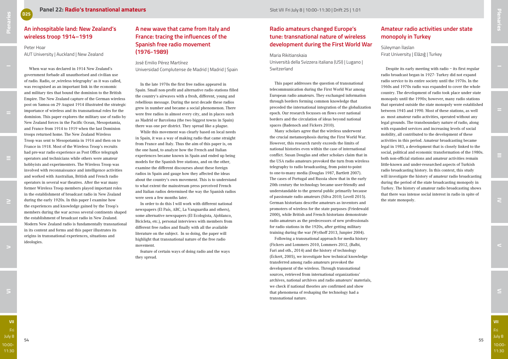**Plenaries**

### **An inhospitable land: New Zealand's wireless troop 1914–1919**

### Peter Hoar AUT University | Auckland | New Zealand

When war was declared in 1914 New Zealand's government forbade all unauthorised and civilian use of radio. Radio, or ,wireless telegraphy' as it was called, was recognised as an important link in the economic and military ties that bound the dominion to the British Empire. The New Zealand capture of the German wireless post on Samoa on 29 August 1914 illustrated the strategic importance of wireless and its transnational roles for the dominion. This paper explores the military use of radio by New Zealand forces in the Pacific Ocean, Mesopotamia, and France from 1914 to 1919 when the last Dominion troops returned home. The New Zealand Wireless Troop was sent to Mesopotamia in 1916 and then on to France in 1918. Most of the Wireless Troop's recruits had pre-war radio experience as Post Office telegraph operators and technicians while others were amateur hobbyists and experimenters. The Wireless Troop was involved with reconnaissance and intelligence activities and worked with Australian, British and French radio operators in several war theatres. After the war many former Wireless Troop members played important roles in the establishment of broadcast radio in New Zealand during the early 1920s. In this paper I examine how the experiences and knowledge gained by the Troop's members during the war across several continents shaped the establishment of broadcast radio in New Zealand. Modern New Zealand radio is fundamentally transnational in its content and forms and this paper illustrates its origins in transnational experiences, situations and ideologies.

### **A new wave that came from Italy and France: tracing the influences of the Spanish free radio movement (1976-1989)**

José Emilio Pérez Martínez Universidad Complutense de Madrid | Madrid | Spain

In the late 1970s the first free radios appeared in Spain. Small non-profit and alternative radio stations filled the country's airwaves with a fresh, different, young and rebellious message. During the next decade these radios grew in number and became a social phenomenon. There were free radios in almost every city, and in places such as Madrid or Barcelona (the two biggest towns in Spain) there was one per district. They spread like a plague.

While this movement was clearly based on local needs in Spain, it was a way of making radio that came straight from France and Italy. Thus the aim of this paper is, on the one hand, to analyze how the French and Italian experiences became known in Spain and ended up being models for the Spanish free stations, and on the other, examine the different discourses about these foreign radios in Spain and gauge how they affected the ideas about the country's own movement. This is to understand to what extent the mainstream press perceived French and Italian radios determined the way the Spanish radios were seen a few months later.

In order to do this I will work with different national newspapers (El País, ABC, La Vanguardia and others), some alternative newspapers (El Ecologista, Ajoblanco, Bicicleta, etc.), personal interviews with members from different free radios and finally with all the available literature on the subject. In so doing, the paper will highlight that transnational nature of the free radio movement.

feature of certain ways of doing radio and the ways they spread.

**I II III IV V VI VII VII** Fri July 8 10:00- 11:30

 $\leq$ 

 $\overline{<}$ 

**D25**

11:30\_

### **Radio amateurs changed Europe's tune: transnational nature of wireless development during the First World War**

### Maria Rikitianskaia

Università della Svizzera italiana (USI) | Lugano | Switzerland

This paper addresses the question of transnational telecommunication during the First World War among European radio amateurs. They exchanged information through borders forming common knowledge that preceded the international integration of the globalization epoch. Our research focusses on flows over national borders and the circulation of ideas beyond national spaces (Badenoch and Fickers 2010).

Many scholars agree that the wireless underwent the crucial metamorphosis during the First World War. However, this research rarely exceeds the limits of national histories even within the case of international conflict. Susan Douglas and other scholars claim that in the USA radio amateurs provoked the turn from wireless telegraphy to radio broadcasting, from point-to-point to one-to-many media (Douglas 1987, Bartlett 2007). The cases of Portugal and Russia show that in the early 20th century the technology became user-friendly and understandable to the general public primarily because of passionate radio amateurs (Silva 2010; Lovell 2015). German historians describe amateurs as inventors and promoters of wireless for the state purposes (Friedewald 2000), while British and French historians demonstrate radio amateurs as the predecessors of new professionals for radio stations in the 1920s, after getting military training during the war (Wythoff 2013, Junpier 2004).

Following a transnational approach for media history (Fickers and Lommers 2010, Lommers 2012, (Balbi, Fari and oth., 2014) and the history of technology (Eckert, 2005), we investigate how technical knowledge transferred among radio amateurs provoked the development of the wireless. Through transnational sources, retrieved from international organizations' archives, national archives and radio amateurs' materials, we check if national theories are confirmed and show that phenomena of reshaping the technology had a transnational nature.

54 September 2006 September 2007 September 2007 September 2007 September 2007 September 2007 September 2007 Se

 $=$ 

 $\geq$ 

### **Amateur radio activities under state monopoly in Turkey**

Süleyman İlaslan Firat University | Elâzığ | Turkey

Despite its early meeting with radio – its first regular radio broadcast began in 1927- Turkey did not expand radio service to its entire society until the 1970s. In the 1960s and 1970s radio was expanded to cover the whole country. The development of radio took place under state monopoly until the 1990s; however, many radio stations that operated outside the state monopoly were established between 1945 and 1990. Most of these stations, as well as most amateur radio activities, operated without any legal grounds. The transboundary nature of radio, along with expanded services and increasing levels of social mobility, all contributed to the development of these activities in this period. Amateur broadcasting became legal in 1983, a development that is closely linked to the social, political and economic transformation of the 1980s. both non-official stations and amateur activities remain little-known and under-researched aspects of Turkish radio broadcasting history. In this context, this study will investigate the history of amateur radio broadcasting during the period of the state broadcasting monopoly in Turkey. The history of amateur radio broadcasting shows that there was intense social interest in radio in spite of the state monopoly.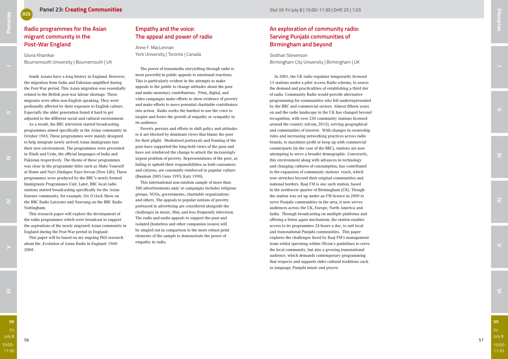### **Radio programmes for the Asian migrant community in the Post-War England**

### Gloria Khamkar Bournemouth University | Bournemouth | UK

South Asians have a long history in England. However, the migration from India and Pakistan amplified during the Post-War period. This Asian migration was essentially related to the British post-war labour shortage. These migrants were often non-English speaking. They were profoundly affected by their exposure to English culture. Especially the older generation found it hard to get adjusted to the different social and cultural environment.

As a result, the BBC television started broadcasting programmes aimed specifically at the Asian community in October 1965. These programmes were mainly designed to help integrate newly arrived Asian immigrants into their new environment. The programmes were presented in Hindi and Urdu, the official languages of India and Pakistan respectively. The theme of these programmes was clear in the programme titles such as Make Yourself at Home and Nayi Zindagee Naye Jeevan (New Life). These programmes were produced by the BBC's newly formed Immigrants Programmes Unit. Later, BBC local radio stations started broadcasting specifically for the Asian listener community, for example, Six O'clock Show on the BBC Radio Leicester and Nawrang on the BBC Radio Nottingham.

This research paper will explore the development of the radio programmes which were broadcast to support the aspirations of the newly migrated Asian community in England during the Post-War period in England.

This paper will be based on my ongoing PhD research about the ,Evolution of Asian Radio in England: 1960- 2004'.

### **Empathy and the voice: The appeal and power of radio**

Anne F. MacLennan York University | Toronto | Canada

The power of transmedia storytelling through radio is most powerful in public appeals to emotional reactions. This is particularly evident in the attempts to make appeals to the public to change attitudes about the poor and make monetary contributions. Print, digital, and video campaigns make efforts to show evidence of poverty and make efforts to move potential charitable contributors into action. Radio works the hardest to use the voice to inspire and foster the growth of empathy or sympathy in its audience.

Poverty persists and efforts to shift policy and attitudes to it are blocked by dominant views that blame the poor for their plight. Mediatized portrayals and framing of the poor have supported the long-held views of the poor and have not reinforced the change to attack the increasingly urgent problem of poverty. Representations of the poor, as failing to uphold their responsibilities as both consumers and citizens, are constantly reinforced in popular culture (Bauman 2005 Gans 1995; Katz 1990).



This international non-random sample of more than 300 advertisements and/ or campaigns includes religious groups, NGOs, governments, charitable organizations and others. The appeals to popular notions of poverty portrayed in advertising are considered alongside the challenges in music, film, and less frequently television. The radio and audio appeals to support the poor and isolated (homeless and other companion issues) will be singled out in comparison to the more robust print elements of the sample to demonstrate the power of empathy in radio.

**D25**

Е

**VII** \_ Fri \_ July 8 \_ 10:00- 11:30

### **An exploration of community radio: Serving Punjabi communities of Birmingham and beyond**

Siobhan Stevenson Birmingham City University | Birmingham | UK

In 2001, the UK radio regulator temporarily licensed 15 stations under a pilot Access Radio scheme, to assess the demand and practicalities of establishing a third tier of radio. Community Radio would provide alternative programming for communities who felt underrepresented by the BBC and commercial sectors. Almost fifteen years on and the radio landscape in the UK has changed beyond recognition, with over 230 community stations licensed around the country (ofcom, 2015), serving geographical and communities of interest. With changes in ownership rules and increasing networking practices across radio brands, to maximize profit or keep up with commercial counterparts (in the case of the BBC), stations are now attempting to serve a broader demographic. Conversely, this environment along with advances in technology and changing cultures of consumption, has contributed to the expansion of community stations' reach, which now stretches beyond their original communities and national borders. Raaj FM is one such station, based in the northwest quarter of Birmingham (UK). Though the station was set up under an FM licence in 2009 to serve Punjabi communities in the area, it now serves audiences across the UK, Europe, North America and India. Through broadcasting on multiple platforms and offering a listen again mechanism, the station enables access to its programmes 24 hours a day, to suit local and transnational Punjabi communities. This paper explores the challenges faced by Raaj FM's management team whilst operating within Ofcom's guidelines to serve the local community, but also a growing transnational audience, which demands contemporary programming that respects and supports older cultural traditions such as language, Punjabi music and prayer.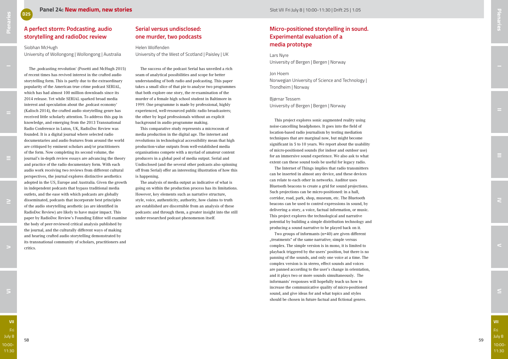### **A perfect storm: Podcasting, audio storytelling and radioDoc review**

### Siobhan McHugh

University of Wollongong | Wollongong | Australia

The ,podcasting revolution' (Posetti and McHugh 2015) of recent times has revived interest in the crafted audio storytelling form. This is partly due to the extraordinary popularity of the American true crime podcast SERIAL, which has had almost 100 million downloads since its 2014 release. Yet while SERIAL sparked broad media interest and speculation about the ,podcast economy' (Kalisch 2014), the crafted audio storytelling genre has received little scholarly attention. To address this gap in knowledge, and emerging from the 2013 Transnational Radio Conference in Luton, UK, RadioDoc Review was founded. It is a digital journal where selected radio documentaries and audio features from around the world are critiqued by eminent scholars and/or practitioners of the form. Now completing its second volume, the journal's in-depth review essays are advancing the theory and practice of the radio documentary form. With each audio work receiving two reviews from different cultural perspectives, the journal explores distinctive aesthetics adopted in the US, Europe and Australia. Given the growth in independent podcasts that bypass traditional media outlets, and the ease with which podcasts are globally disseminated, podcasts that incorporate best principles of the audio storytelling aesthetic (as are identified in RadioDoc Review) are likely to have major impact. This paper by RadioDoc Review's Founding Editor will examine the body of peer-reviewed critical analysis published by the journal, and the culturally different ways of making and hearing crafted audio storytelling demonstrated by its transnational community of scholars, practitioners and critics.

### **Serial versus undisclosed: one murder, two podcasts**

### Helen Wolfenden University of the West of Scotland | Paisley | UK

The success of the podcast Serial has unveiled a rich seam of analytical possibilities and scope for better understanding of both radio and podcasting. This paper takes a small slice of that pie to analyse two programmes that both explore one story, the re-examination of the murder of a female high school student in Baltimore in 1999. One programme is made by professional, highly experienced, well-resourced public radio broadcasters; the other by legal professionals without an explicit background in audio programme making.



This comparative study represents a microcosm of media production in the digital age. The internet and revolutions in technological accessibility mean that high production-value outputs from well-established media organisations compete with a myriad of amateur content producers in a global pool of media output. Serial and Undisclosed (and the several other podcasts also spinning off from Serial) offer an interesting illustration of how this is happening.

The analysis of media output as indicative of what is going on within the production process has its limitations. However, key elements such as narrative structure, style, voice, authenticity, authority, how claims to truth are established are discernible from an analysis of these podcasts: and through them, a greater insight into the still under-researched podcast phenomenon itself.

**D25**

July 8 \_ 10:00- 11:30

### **Micro-positioned storytelling in sound. Experimental evaluation of a media prototype**

### Lars Nyre University of Bergen | Bergen | Norway

### Jon Hoem

Norwegian University of Science and Technology | Trondheim | Norway

Bjørnar Tessem University of Bergen | Bergen | Norway

This project explores sonic augmented reality using noise-cancelling headphones. It goes into the field of location-based radio journalism by testing mediation techniques that are marginal now, but might become significant in 5 to 10 years. We report about the usability of micro-positioned sounds (for indoor and outdoor use) for an immersive sound experience. We also ask to what extent can these sound tools be useful for legacy radio.

The Internet of Things implies that radio transmitters can be inserted in almost any device, and these devices can relate to each other in networks. Auditor uses Bluetooth beacons to create a grid for sound projections. Such projections can be micro-positioned: in a hall, corridor, road, park, shop, museum, etc. The Bluetooth beacons can be used to control expressions in sound, by delivering a story, a voice, factual information, or music. This project explores the technological and narrative potential by building a simple distribution technology and producing a sound narrative to be played back on it.

Two groups of informants (n=40) are given different "treatments" of the same narrative; simple versus complex. The simple version is in mono, it is limited to playback triggered by the users' position, but there is no panning of the sounds, and only one voice at a time. The complex version is in stereo, effect sounds and voices are panned according to the user's change in orientation, and it plays two or more sounds simultaneously. The informants' responses will hopefully teach us how to increase the communicative quality of micro-positioned sound, and give ideas for and what topics and styles should be chosen in future factual and fictional genres.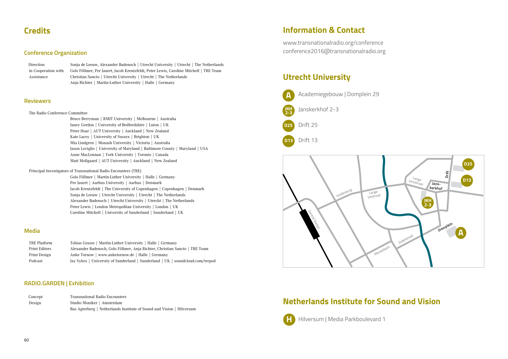### **Credits**

### **Conference Organization**

 Direction Sonja de Leeuw, Alexander Badenoch | Utrecht University | Utrecht | The Netherlands in Cooperation with Golo Föllmer, Per Jauert, Jacob Kreutzfeldt, Peter Lewis, Caroline Mitchell | TRE Team Assistance Christian Sancto | Utrecht University | Utrecht | The Netherlands Anja Richter | Martin-Luther University | Halle | Germany

### **Reviewers**

### The Radio Conference Committee

 Bruce Berryman | RMIT University | Melbourne | Australia Janey Gordon | University of Bedfordshire | Luton | UK Peter Hoar | AUT University | Auckland | New Zealand Kate Lacey | University of Sussex | Brighton | UK Mia Lindgren | Monash University | Victoria | Australia Jason Loviglio | University of Maryland | Baltimore County | Maryland | USA Anne MacLennan | York University | Toronto | Canada Matt Mollgaard | AUT University | Auckland | New Zealand

### Principal Investigators of Transnational Radio Encounters (TRE)

 Golo Föllmer | Martin-Luther University | Halle | Germany Per Jauert | Aarhus University | Aarhus | Denmark Jacob Kreutzfeldt | The University of Copenhagen | Copenhagen | Denmark Sonja de Leeuw | Utrecht University | Utrecht | The Netherlands Alexander Badenoch | Utrecht University | Utrecht | The Netherlands Peter Lewis | London Metropolitan University | London | UK Caroline Mitchell | University of Sunderland | Sunderland | UK

### **Media**

| TRE Platform  | Tobias Grasse   Martin-Luther University   Halle   Germany                     |
|---------------|--------------------------------------------------------------------------------|
| Print Editors | Alexander Badenoch, Golo Föllmer, Anja Richter, Christian Sancto   TRE Team    |
| Print Design  | Anke Tornow   www.anketornow.de   Halle   Germany                              |
| Podcast       | Jay Sykes   University of Sunderland   Sunderland   UK   soundcloud.com/trepod |

### **RADIO.GARDEN | Exhibition**

| Concept | Transnational Radio Encounters                                        |
|---------|-----------------------------------------------------------------------|
| Design  | Studio Moniker   Amsterdam                                            |
|         | Bas Agterberg   Netherlands Institute of Sound and Vision   Hilversum |

### **Utrecht University**

### **Netherlands Institute for Sound and Vision**

Hilversum | Media Parkboulevard 1



### **Information & Contact**



www.transnationalradio.org/conference conference2016@transnationalradio.org